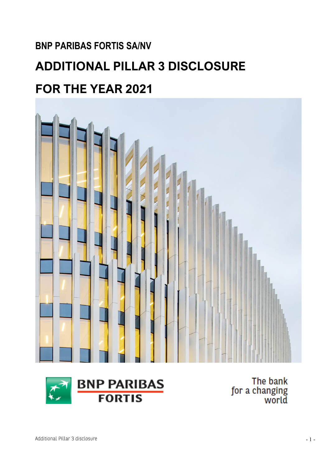## **BNP PARIBAS FORTIS SA/NV**

# **ADDITIONAL PILLAR 3 DISCLOSURE**

## **FOR THE YEAR 2021**

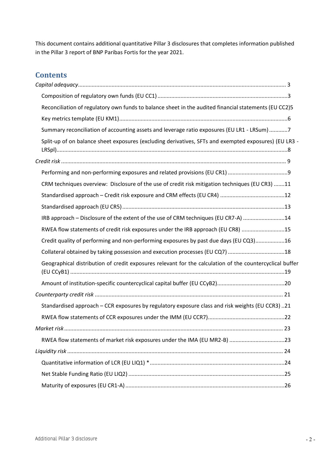This document contains additional quantitative Pillar 3 disclosures that completes information published in the Pillar 3 report of BNP Paribas Fortis for the year 2021.

#### **Contents**

| Reconciliation of regulatory own funds to balance sheet in the audited financial statements (EU CC2)5    |  |
|----------------------------------------------------------------------------------------------------------|--|
|                                                                                                          |  |
| Summary reconciliation of accounting assets and leverage ratio exposures (EU LR1 - LRSum) 7              |  |
| Split-up of on balance sheet exposures (excluding derivatives, SFTs and exempted exposures) (EU LR3 -    |  |
|                                                                                                          |  |
|                                                                                                          |  |
| CRM techniques overview: Disclosure of the use of credit risk mitigation techniques (EU CR3) 11          |  |
|                                                                                                          |  |
|                                                                                                          |  |
| IRB approach - Disclosure of the extent of the use of CRM techniques (EU CR7-A) 14                       |  |
| RWEA flow statements of credit risk exposures under the IRB approach (EU CR8) 15                         |  |
| Credit quality of performing and non-performing exposures by past due days (EU CQ3)16                    |  |
| Collateral obtained by taking possession and execution processes (EU CQ7) 18                             |  |
| Geographical distribution of credit exposures relevant for the calculation of the countercyclical buffer |  |
|                                                                                                          |  |
|                                                                                                          |  |
| Standardised approach - CCR exposures by regulatory exposure class and risk weights (EU CCR3) 21         |  |
|                                                                                                          |  |
|                                                                                                          |  |
| RWEA flow statements of market risk exposures under the IMA (EU MR2-B) 23                                |  |
|                                                                                                          |  |
|                                                                                                          |  |
|                                                                                                          |  |
|                                                                                                          |  |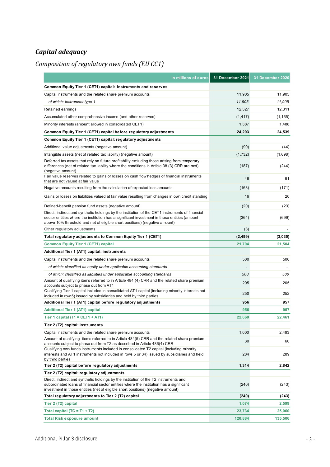#### <span id="page-2-0"></span>*Capital adequacy*

#### <span id="page-2-1"></span>*Composition of regulatory own funds (EU CC1)*

| In millions of euros                                                                                                                                                                                                                                                          | 31 December 2021 | 31 December 2020 |
|-------------------------------------------------------------------------------------------------------------------------------------------------------------------------------------------------------------------------------------------------------------------------------|------------------|------------------|
| Common Equity Tier 1 (CET1) capital: instruments and reserves                                                                                                                                                                                                                 |                  |                  |
| Capital instruments and the related share premium accounts                                                                                                                                                                                                                    | 11,905           | 11,905           |
| of which: Instrument type 1                                                                                                                                                                                                                                                   | 11,905           | 11,905           |
| Retained earnings                                                                                                                                                                                                                                                             | 12,327           | 12.311           |
| Accumulated other comprehensive income (and other reserves)                                                                                                                                                                                                                   | (1, 417)         | (1, 165)         |
| Minority interests (amount allowed in consolidated CET1)                                                                                                                                                                                                                      | 1,387            | 1,488            |
| Common Equity Tier 1 (CET1) capital before regulatory adjustments                                                                                                                                                                                                             | 24,203           | 24,539           |
| Common Equity Tier 1 (CET1) capital: regulatory adjustments                                                                                                                                                                                                                   |                  |                  |
| Additional value adjustments (negative amount)                                                                                                                                                                                                                                | (90)             | (44)             |
| Intangible assets (net of related tax liability) (negative amount)                                                                                                                                                                                                            | (1,732)          | (1,698)          |
| Deferred tax assets that rely on future profitability excluding those arising from temporary<br>differences (net of related tax liability where the conditions in Article 38 (3) CRR are met)<br>(negative amount)                                                            | (187)            | (244)            |
| Fair value reserves related to gains or losses on cash flow hedges of financial instruments<br>that are not valued at fair value                                                                                                                                              | 46               | 91               |
| Negative amounts resulting from the calculation of expected loss amounts                                                                                                                                                                                                      | (163)            | (171)            |
| Gains or losses on liabilities valued at fair value resulting from changes in own credit standing                                                                                                                                                                             | 16               | 20               |
| Defined-benefit pension fund assets (negative amount)                                                                                                                                                                                                                         | (20)             | (23)             |
| Direct, indirect and synthetic holdings by the institution of the CET1 instruments of financial<br>sector entities where the institution has a significant investment in those entities (amount<br>above 10% threshold and net of eligible short positions) (negative amount) | (364)            | (699)            |
| Other regulatory adjustments                                                                                                                                                                                                                                                  | (3)              |                  |
| Total regulatory adjustments to Common Equity Tier 1 (CET1)                                                                                                                                                                                                                   | (2, 499)         | (3,035)          |
| <b>Common Equity Tier 1 (CET1) capital</b>                                                                                                                                                                                                                                    | 21,704           | 21,504           |
| Additional Tier 1 (AT1) capital: instruments                                                                                                                                                                                                                                  |                  |                  |
| Capital instruments and the related share premium accounts                                                                                                                                                                                                                    | 500              | 500              |
| of which: classified as equity under applicable accounting standards                                                                                                                                                                                                          |                  |                  |
| of which: classified as liabilities under applicable accounting standards                                                                                                                                                                                                     | 500              | 500              |
| Amount of qualifying items referred to in Article 484 (4) CRR and the related share premium<br>accounts subject to phase out from AT1                                                                                                                                         | 205              | 205              |
| Qualifying Tier 1 capital included in consolidated AT1 capital (including minority interests not<br>included in row 5) issued by subsidiaries and held by third parties                                                                                                       | 250              | 252              |
| Additional Tier 1 (AT1) capital before regulatory adjustments                                                                                                                                                                                                                 | 956              | 957              |
| <b>Additional Tier 1 (AT1) capital</b>                                                                                                                                                                                                                                        | 956              | 957              |
| Tier 1 capital $(T1 = CET1 + AT1)$                                                                                                                                                                                                                                            | 22,660           | 22,461           |
| Tier 2 (T2) capital: instruments                                                                                                                                                                                                                                              |                  |                  |
| Capital instruments and the related share premium accounts                                                                                                                                                                                                                    | 1,000            | 2,493            |
| Amount of qualifying items referred to in Article 484(5) CRR and the related share premium<br>accounts subject to phase out from T2 as described in Article 486(4) CRR                                                                                                        | 30               | 60               |
| Qualifying own funds instruments included in consolidated T2 capital (including minority<br>interests and AT1 instruments not included in rows 5 or 34) issued by subsidiaries and held<br>by third parties                                                                   | 284              | 289              |
| Tier 2 (T2) capital before regulatory adjustments                                                                                                                                                                                                                             | 1,314            | 2,842            |
| Tier 2 (T2) capital: regulatory adjustments                                                                                                                                                                                                                                   |                  |                  |
| Direct, indirect and synthetic holdings by the institution of the T2 instruments and<br>subordinated loans of financial sector entities where the institution has a significant<br>investment in those entities (net of eligible short positions) (negative amount)           | (240)            | (243)            |
| Total regulatory adjustments to Tier 2 (T2) capital                                                                                                                                                                                                                           | (240)            | (243)            |
| Tier 2 (T2) capital                                                                                                                                                                                                                                                           | 1,074            | 2,599            |
| Total capital $(TC = T1 + T2)$                                                                                                                                                                                                                                                | 23,734           | 25,060           |
| <b>Total Risk exposure amount</b>                                                                                                                                                                                                                                             | 120,884          | 135,506          |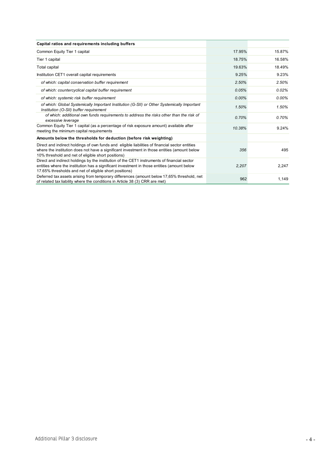| Capital ratios and requirements including buffers                                                                                                                                                                                                     |        |          |
|-------------------------------------------------------------------------------------------------------------------------------------------------------------------------------------------------------------------------------------------------------|--------|----------|
| Common Equity Tier 1 capital                                                                                                                                                                                                                          | 17.95% | 15.87%   |
| Tier 1 capital                                                                                                                                                                                                                                        | 18.75% | 16.58%   |
| Total capital                                                                                                                                                                                                                                         | 19.63% | 18.49%   |
| Institution CET1 overall capital requirements                                                                                                                                                                                                         | 9.25%  | 9.23%    |
| of which: capital conservation buffer requirement                                                                                                                                                                                                     | 2.50%  | 2.50%    |
| of which: countercyclical capital buffer requirement                                                                                                                                                                                                  | 0.05%  | 0.02%    |
| of which: systemic risk buffer requirement                                                                                                                                                                                                            | 0.00%  | $0.00\%$ |
| of which: Global Systemically Important Institution (G-SII) or Other Systemically Important<br>Institution (O-SII) buffer requirement                                                                                                                 | 1.50%  | 1.50%    |
| of which: additional own funds requirements to address the risks other than the risk of<br>excessive leverage                                                                                                                                         | 0.70%  | 0.70%    |
| Common Equity Tier 1 capital (as a percentage of risk exposure amount) available after<br>meeting the minimum capital requirements                                                                                                                    | 10.38% | 9.24%    |
| Amounts below the thresholds for deduction (before risk weighting)                                                                                                                                                                                    |        |          |
| Direct and indirect holdings of own funds and eligible liabilities of financial sector entities<br>where the institution does not have a significant investment in those entities (amount below<br>10% threshold and net of eligible short positions) | 356    | 495      |
| Direct and indirect holdings by the institution of the CET1 instruments of financial sector<br>entities where the institution has a significant investment in those entities (amount below<br>17.65% thresholds and net of eligible short positions)  | 2,207  | 2,247    |
| Deferred tax assets arising from temporary differences (amount below 17,65% threshold, net<br>of related tax liability where the conditions in Article 38 (3) CRR are met)                                                                            | 962    | 1,149    |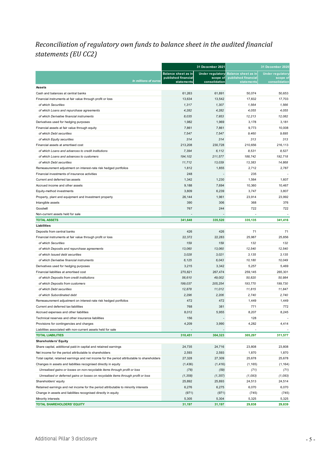#### <span id="page-4-0"></span>*Reconciliation of regulatory own funds to balance sheet in the audited financial statements (EU CC2)*

| <b>Balance sheet as in</b><br><b>Balance sheet as in</b><br><b>Under regulatory</b><br>Under regulatory<br>published financial<br>published financial<br>scope of<br>scope of<br>In millions of euros<br>state ments<br>consolidation<br><b>statements</b><br>consolidation<br><b>Assets</b><br>Cash and balances at central banks<br>61,263<br>61,891<br>50,074<br>50,653<br>13,634<br>13,542<br>17,832<br>17,703<br>Financial instruments at fair value through profit or loss<br>1,317<br>of which Securities<br>1,307<br>1,564<br>1,566<br>4,055<br>of which Loans and repurchase agreements<br>4,282<br>4,282<br>4,055<br>of which Derivative financial instruments<br>8.035<br>7,953<br>12,213<br>12,082<br>1,982<br>3,181<br>Derivatives used for hedging purposes<br>1,969<br>3,178<br>Financial assets at fair value through equity<br>7,861<br>7,861<br>9,773<br>10,008<br>of which Debt securities<br>7,547<br>7,547<br>9,460<br>9,695<br>314<br>313<br>of which Equity securities<br>314<br>313<br>213,208<br>230,728<br>210,656<br>216,113<br>Financial assets at amortised cost<br>7,394<br>8,531<br>8,527<br>of which Loans and advances to credit institutions<br>6,112<br>of which Loans and advances to customers<br>194,102<br>188,742<br>192,718<br>211,577<br>11,712<br>13,039<br>13,383<br>14,868<br>of which Debt securities<br>1,812<br>2,787<br>Remeasurement adjustment on interest-rate risk hedged portfolios<br>1,855<br>2,712<br>248<br>235<br>Financial investments of insurance activities<br>Current and deferred tax assets<br>1,342<br>1,564<br>1,230<br>1,607<br>Accrued income and other assets<br>9,188<br>7,694<br>10,360<br>10,467<br>Equity-method investments<br>3,809<br>6,239<br>3,747<br>3,807<br>Property, plant and equipment and Investment property<br>26.144<br>1,961<br>23,914<br>23,992<br>390<br>Intangible assets<br>306<br>368<br>376<br>767<br>244<br>722<br>722<br>Goodwill<br>Non-current assets held for sale<br><b>TOTAL ASSETS</b><br>341,648<br>335,520<br>335,135<br>341,416<br><b>Liabilities</b><br>426<br>426<br>71<br>71<br>Deposits from central banks<br>22,372<br>22,283<br>25,987<br>25,856<br>Financial instruments at fair value through profit or loss<br>of which Securities<br>159<br>159<br>132<br>132<br>13,060<br>13,060<br>12,540<br>12,540<br>of which Deposits and repurchase agreements<br>of which Issued debt securities<br>3.028<br>3,021<br>3,135<br>3,135<br>6,043<br>10,049<br>of which Derivative financial instruments<br>6,125<br>10,180<br>Derivatives used for hedging purposes<br>3,215<br>3,342<br>5,257<br>5,469<br>270,821<br>265,301<br>Financial liabilities at amortised cost<br>267,474<br>259,145<br>of which Deposits from credit institutions<br>56.610<br>49,002<br>50,820<br>50,984<br>of which Deposits from customers<br>199,037<br>205,254<br>193,770<br>199,730<br>of which Debt securities<br>12,878<br>11,012<br>11,815<br>11,847<br>2,296<br>2,206<br>of which Subordinated debt<br>2,740<br>2,740<br>Remeasurement adjustment on interest-rate risk hedged portfolios<br>472<br>472<br>1,449<br>1,449<br>768<br>381<br>771<br>772<br>Current and deferred tax liabilities<br>8,012<br>5,955<br>8,207<br>8,245<br>Accrued expenses and other liabilities<br>Technical reserves and other insurance liabilities<br>156<br>128<br>4,209<br>3,990<br>4,282<br>4,414<br>Provisions for contingencies and charges<br>Liabilities associated with non-current assets held for sale<br><b>TOTAL LIABILITIES</b><br>310,451<br>304,323<br>305,297<br>311,577<br><b>Shareholders' Equity</b><br>Share capital, additional paid-in capital and retained earnings<br>24,735<br>24,716<br>23,808<br>23,808<br>Net income for the period attributable to shareholders<br>2,593<br>2,593<br>1,870<br>1,870<br>Total capital, retained earnings and net income for the period attributable to shareholders<br>27,328<br>27,309<br>25,678<br>25,678<br>Changes in assets and liabilities recognised directly in equity<br>(1, 436)<br>(1, 416)<br>(1, 165)<br>(1, 164)<br>Unrealised gains or losses on non-recyclable items through profit or loss<br>(78)<br>(59)<br>(71)<br>(71)<br>Unrealised or deferred gains or losses on recyclable items through profit or loss<br>(1, 358)<br>(1, 357)<br>(1,093)<br>(1,093)<br>25,892<br>24,514<br>Shareholders' equity<br>25,893<br>24,513<br>Retained earnings and net income for the period attributable to minority interests<br>6,070<br>6,070<br>6,276<br>6,275<br>Change in assets and liabilities recognised directly in equity<br>(971)<br>(971)<br>(745)<br>(745)<br>5,305<br>5,304<br>5,325<br>5,325<br>Minority interests<br>TOTAL SHAREHOLDERS' EQUITY<br>31,197<br>31,197<br>29,838<br>29,839 |  | 31 December 2021 | 31 December 2020 |
|----------------------------------------------------------------------------------------------------------------------------------------------------------------------------------------------------------------------------------------------------------------------------------------------------------------------------------------------------------------------------------------------------------------------------------------------------------------------------------------------------------------------------------------------------------------------------------------------------------------------------------------------------------------------------------------------------------------------------------------------------------------------------------------------------------------------------------------------------------------------------------------------------------------------------------------------------------------------------------------------------------------------------------------------------------------------------------------------------------------------------------------------------------------------------------------------------------------------------------------------------------------------------------------------------------------------------------------------------------------------------------------------------------------------------------------------------------------------------------------------------------------------------------------------------------------------------------------------------------------------------------------------------------------------------------------------------------------------------------------------------------------------------------------------------------------------------------------------------------------------------------------------------------------------------------------------------------------------------------------------------------------------------------------------------------------------------------------------------------------------------------------------------------------------------------------------------------------------------------------------------------------------------------------------------------------------------------------------------------------------------------------------------------------------------------------------------------------------------------------------------------------------------------------------------------------------------------------------------------------------------------------------------------------------------------------------------------------------------------------------------------------------------------------------------------------------------------------------------------------------------------------------------------------------------------------------------------------------------------------------------------------------------------------------------------------------------------------------------------------------------------------------------------------------------------------------------------------------------------------------------------------------------------------------------------------------------------------------------------------------------------------------------------------------------------------------------------------------------------------------------------------------------------------------------------------------------------------------------------------------------------------------------------------------------------------------------------------------------------------------------------------------------------------------------------------------------------------------------------------------------------------------------------------------------------------------------------------------------------------------------------------------------------------------------------------------------------------------------------------------------------------------------------------------------------------------------------------------------------------------------------------------------------------------------------------------------------------------------------------------------------------------------------------------------------------------------------------------------------------------------------------------------------------------------------------------------------------------------------------------------------------------------------------------------------------------------------------------------------------------------------|--|------------------|------------------|
|                                                                                                                                                                                                                                                                                                                                                                                                                                                                                                                                                                                                                                                                                                                                                                                                                                                                                                                                                                                                                                                                                                                                                                                                                                                                                                                                                                                                                                                                                                                                                                                                                                                                                                                                                                                                                                                                                                                                                                                                                                                                                                                                                                                                                                                                                                                                                                                                                                                                                                                                                                                                                                                                                                                                                                                                                                                                                                                                                                                                                                                                                                                                                                                                                                                                                                                                                                                                                                                                                                                                                                                                                                                                                                                                                                                                                                                                                                                                                                                                                                                                                                                                                                                                                                                                                                                                                                                                                                                                                                                                                                                                                                                                                                                                                          |  |                  |                  |
|                                                                                                                                                                                                                                                                                                                                                                                                                                                                                                                                                                                                                                                                                                                                                                                                                                                                                                                                                                                                                                                                                                                                                                                                                                                                                                                                                                                                                                                                                                                                                                                                                                                                                                                                                                                                                                                                                                                                                                                                                                                                                                                                                                                                                                                                                                                                                                                                                                                                                                                                                                                                                                                                                                                                                                                                                                                                                                                                                                                                                                                                                                                                                                                                                                                                                                                                                                                                                                                                                                                                                                                                                                                                                                                                                                                                                                                                                                                                                                                                                                                                                                                                                                                                                                                                                                                                                                                                                                                                                                                                                                                                                                                                                                                                                          |  |                  |                  |
|                                                                                                                                                                                                                                                                                                                                                                                                                                                                                                                                                                                                                                                                                                                                                                                                                                                                                                                                                                                                                                                                                                                                                                                                                                                                                                                                                                                                                                                                                                                                                                                                                                                                                                                                                                                                                                                                                                                                                                                                                                                                                                                                                                                                                                                                                                                                                                                                                                                                                                                                                                                                                                                                                                                                                                                                                                                                                                                                                                                                                                                                                                                                                                                                                                                                                                                                                                                                                                                                                                                                                                                                                                                                                                                                                                                                                                                                                                                                                                                                                                                                                                                                                                                                                                                                                                                                                                                                                                                                                                                                                                                                                                                                                                                                                          |  |                  |                  |
|                                                                                                                                                                                                                                                                                                                                                                                                                                                                                                                                                                                                                                                                                                                                                                                                                                                                                                                                                                                                                                                                                                                                                                                                                                                                                                                                                                                                                                                                                                                                                                                                                                                                                                                                                                                                                                                                                                                                                                                                                                                                                                                                                                                                                                                                                                                                                                                                                                                                                                                                                                                                                                                                                                                                                                                                                                                                                                                                                                                                                                                                                                                                                                                                                                                                                                                                                                                                                                                                                                                                                                                                                                                                                                                                                                                                                                                                                                                                                                                                                                                                                                                                                                                                                                                                                                                                                                                                                                                                                                                                                                                                                                                                                                                                                          |  |                  |                  |
|                                                                                                                                                                                                                                                                                                                                                                                                                                                                                                                                                                                                                                                                                                                                                                                                                                                                                                                                                                                                                                                                                                                                                                                                                                                                                                                                                                                                                                                                                                                                                                                                                                                                                                                                                                                                                                                                                                                                                                                                                                                                                                                                                                                                                                                                                                                                                                                                                                                                                                                                                                                                                                                                                                                                                                                                                                                                                                                                                                                                                                                                                                                                                                                                                                                                                                                                                                                                                                                                                                                                                                                                                                                                                                                                                                                                                                                                                                                                                                                                                                                                                                                                                                                                                                                                                                                                                                                                                                                                                                                                                                                                                                                                                                                                                          |  |                  |                  |
|                                                                                                                                                                                                                                                                                                                                                                                                                                                                                                                                                                                                                                                                                                                                                                                                                                                                                                                                                                                                                                                                                                                                                                                                                                                                                                                                                                                                                                                                                                                                                                                                                                                                                                                                                                                                                                                                                                                                                                                                                                                                                                                                                                                                                                                                                                                                                                                                                                                                                                                                                                                                                                                                                                                                                                                                                                                                                                                                                                                                                                                                                                                                                                                                                                                                                                                                                                                                                                                                                                                                                                                                                                                                                                                                                                                                                                                                                                                                                                                                                                                                                                                                                                                                                                                                                                                                                                                                                                                                                                                                                                                                                                                                                                                                                          |  |                  |                  |
|                                                                                                                                                                                                                                                                                                                                                                                                                                                                                                                                                                                                                                                                                                                                                                                                                                                                                                                                                                                                                                                                                                                                                                                                                                                                                                                                                                                                                                                                                                                                                                                                                                                                                                                                                                                                                                                                                                                                                                                                                                                                                                                                                                                                                                                                                                                                                                                                                                                                                                                                                                                                                                                                                                                                                                                                                                                                                                                                                                                                                                                                                                                                                                                                                                                                                                                                                                                                                                                                                                                                                                                                                                                                                                                                                                                                                                                                                                                                                                                                                                                                                                                                                                                                                                                                                                                                                                                                                                                                                                                                                                                                                                                                                                                                                          |  |                  |                  |
|                                                                                                                                                                                                                                                                                                                                                                                                                                                                                                                                                                                                                                                                                                                                                                                                                                                                                                                                                                                                                                                                                                                                                                                                                                                                                                                                                                                                                                                                                                                                                                                                                                                                                                                                                                                                                                                                                                                                                                                                                                                                                                                                                                                                                                                                                                                                                                                                                                                                                                                                                                                                                                                                                                                                                                                                                                                                                                                                                                                                                                                                                                                                                                                                                                                                                                                                                                                                                                                                                                                                                                                                                                                                                                                                                                                                                                                                                                                                                                                                                                                                                                                                                                                                                                                                                                                                                                                                                                                                                                                                                                                                                                                                                                                                                          |  |                  |                  |
|                                                                                                                                                                                                                                                                                                                                                                                                                                                                                                                                                                                                                                                                                                                                                                                                                                                                                                                                                                                                                                                                                                                                                                                                                                                                                                                                                                                                                                                                                                                                                                                                                                                                                                                                                                                                                                                                                                                                                                                                                                                                                                                                                                                                                                                                                                                                                                                                                                                                                                                                                                                                                                                                                                                                                                                                                                                                                                                                                                                                                                                                                                                                                                                                                                                                                                                                                                                                                                                                                                                                                                                                                                                                                                                                                                                                                                                                                                                                                                                                                                                                                                                                                                                                                                                                                                                                                                                                                                                                                                                                                                                                                                                                                                                                                          |  |                  |                  |
|                                                                                                                                                                                                                                                                                                                                                                                                                                                                                                                                                                                                                                                                                                                                                                                                                                                                                                                                                                                                                                                                                                                                                                                                                                                                                                                                                                                                                                                                                                                                                                                                                                                                                                                                                                                                                                                                                                                                                                                                                                                                                                                                                                                                                                                                                                                                                                                                                                                                                                                                                                                                                                                                                                                                                                                                                                                                                                                                                                                                                                                                                                                                                                                                                                                                                                                                                                                                                                                                                                                                                                                                                                                                                                                                                                                                                                                                                                                                                                                                                                                                                                                                                                                                                                                                                                                                                                                                                                                                                                                                                                                                                                                                                                                                                          |  |                  |                  |
|                                                                                                                                                                                                                                                                                                                                                                                                                                                                                                                                                                                                                                                                                                                                                                                                                                                                                                                                                                                                                                                                                                                                                                                                                                                                                                                                                                                                                                                                                                                                                                                                                                                                                                                                                                                                                                                                                                                                                                                                                                                                                                                                                                                                                                                                                                                                                                                                                                                                                                                                                                                                                                                                                                                                                                                                                                                                                                                                                                                                                                                                                                                                                                                                                                                                                                                                                                                                                                                                                                                                                                                                                                                                                                                                                                                                                                                                                                                                                                                                                                                                                                                                                                                                                                                                                                                                                                                                                                                                                                                                                                                                                                                                                                                                                          |  |                  |                  |
|                                                                                                                                                                                                                                                                                                                                                                                                                                                                                                                                                                                                                                                                                                                                                                                                                                                                                                                                                                                                                                                                                                                                                                                                                                                                                                                                                                                                                                                                                                                                                                                                                                                                                                                                                                                                                                                                                                                                                                                                                                                                                                                                                                                                                                                                                                                                                                                                                                                                                                                                                                                                                                                                                                                                                                                                                                                                                                                                                                                                                                                                                                                                                                                                                                                                                                                                                                                                                                                                                                                                                                                                                                                                                                                                                                                                                                                                                                                                                                                                                                                                                                                                                                                                                                                                                                                                                                                                                                                                                                                                                                                                                                                                                                                                                          |  |                  |                  |
|                                                                                                                                                                                                                                                                                                                                                                                                                                                                                                                                                                                                                                                                                                                                                                                                                                                                                                                                                                                                                                                                                                                                                                                                                                                                                                                                                                                                                                                                                                                                                                                                                                                                                                                                                                                                                                                                                                                                                                                                                                                                                                                                                                                                                                                                                                                                                                                                                                                                                                                                                                                                                                                                                                                                                                                                                                                                                                                                                                                                                                                                                                                                                                                                                                                                                                                                                                                                                                                                                                                                                                                                                                                                                                                                                                                                                                                                                                                                                                                                                                                                                                                                                                                                                                                                                                                                                                                                                                                                                                                                                                                                                                                                                                                                                          |  |                  |                  |
|                                                                                                                                                                                                                                                                                                                                                                                                                                                                                                                                                                                                                                                                                                                                                                                                                                                                                                                                                                                                                                                                                                                                                                                                                                                                                                                                                                                                                                                                                                                                                                                                                                                                                                                                                                                                                                                                                                                                                                                                                                                                                                                                                                                                                                                                                                                                                                                                                                                                                                                                                                                                                                                                                                                                                                                                                                                                                                                                                                                                                                                                                                                                                                                                                                                                                                                                                                                                                                                                                                                                                                                                                                                                                                                                                                                                                                                                                                                                                                                                                                                                                                                                                                                                                                                                                                                                                                                                                                                                                                                                                                                                                                                                                                                                                          |  |                  |                  |
|                                                                                                                                                                                                                                                                                                                                                                                                                                                                                                                                                                                                                                                                                                                                                                                                                                                                                                                                                                                                                                                                                                                                                                                                                                                                                                                                                                                                                                                                                                                                                                                                                                                                                                                                                                                                                                                                                                                                                                                                                                                                                                                                                                                                                                                                                                                                                                                                                                                                                                                                                                                                                                                                                                                                                                                                                                                                                                                                                                                                                                                                                                                                                                                                                                                                                                                                                                                                                                                                                                                                                                                                                                                                                                                                                                                                                                                                                                                                                                                                                                                                                                                                                                                                                                                                                                                                                                                                                                                                                                                                                                                                                                                                                                                                                          |  |                  |                  |
|                                                                                                                                                                                                                                                                                                                                                                                                                                                                                                                                                                                                                                                                                                                                                                                                                                                                                                                                                                                                                                                                                                                                                                                                                                                                                                                                                                                                                                                                                                                                                                                                                                                                                                                                                                                                                                                                                                                                                                                                                                                                                                                                                                                                                                                                                                                                                                                                                                                                                                                                                                                                                                                                                                                                                                                                                                                                                                                                                                                                                                                                                                                                                                                                                                                                                                                                                                                                                                                                                                                                                                                                                                                                                                                                                                                                                                                                                                                                                                                                                                                                                                                                                                                                                                                                                                                                                                                                                                                                                                                                                                                                                                                                                                                                                          |  |                  |                  |
|                                                                                                                                                                                                                                                                                                                                                                                                                                                                                                                                                                                                                                                                                                                                                                                                                                                                                                                                                                                                                                                                                                                                                                                                                                                                                                                                                                                                                                                                                                                                                                                                                                                                                                                                                                                                                                                                                                                                                                                                                                                                                                                                                                                                                                                                                                                                                                                                                                                                                                                                                                                                                                                                                                                                                                                                                                                                                                                                                                                                                                                                                                                                                                                                                                                                                                                                                                                                                                                                                                                                                                                                                                                                                                                                                                                                                                                                                                                                                                                                                                                                                                                                                                                                                                                                                                                                                                                                                                                                                                                                                                                                                                                                                                                                                          |  |                  |                  |
|                                                                                                                                                                                                                                                                                                                                                                                                                                                                                                                                                                                                                                                                                                                                                                                                                                                                                                                                                                                                                                                                                                                                                                                                                                                                                                                                                                                                                                                                                                                                                                                                                                                                                                                                                                                                                                                                                                                                                                                                                                                                                                                                                                                                                                                                                                                                                                                                                                                                                                                                                                                                                                                                                                                                                                                                                                                                                                                                                                                                                                                                                                                                                                                                                                                                                                                                                                                                                                                                                                                                                                                                                                                                                                                                                                                                                                                                                                                                                                                                                                                                                                                                                                                                                                                                                                                                                                                                                                                                                                                                                                                                                                                                                                                                                          |  |                  |                  |
|                                                                                                                                                                                                                                                                                                                                                                                                                                                                                                                                                                                                                                                                                                                                                                                                                                                                                                                                                                                                                                                                                                                                                                                                                                                                                                                                                                                                                                                                                                                                                                                                                                                                                                                                                                                                                                                                                                                                                                                                                                                                                                                                                                                                                                                                                                                                                                                                                                                                                                                                                                                                                                                                                                                                                                                                                                                                                                                                                                                                                                                                                                                                                                                                                                                                                                                                                                                                                                                                                                                                                                                                                                                                                                                                                                                                                                                                                                                                                                                                                                                                                                                                                                                                                                                                                                                                                                                                                                                                                                                                                                                                                                                                                                                                                          |  |                  |                  |
|                                                                                                                                                                                                                                                                                                                                                                                                                                                                                                                                                                                                                                                                                                                                                                                                                                                                                                                                                                                                                                                                                                                                                                                                                                                                                                                                                                                                                                                                                                                                                                                                                                                                                                                                                                                                                                                                                                                                                                                                                                                                                                                                                                                                                                                                                                                                                                                                                                                                                                                                                                                                                                                                                                                                                                                                                                                                                                                                                                                                                                                                                                                                                                                                                                                                                                                                                                                                                                                                                                                                                                                                                                                                                                                                                                                                                                                                                                                                                                                                                                                                                                                                                                                                                                                                                                                                                                                                                                                                                                                                                                                                                                                                                                                                                          |  |                  |                  |
|                                                                                                                                                                                                                                                                                                                                                                                                                                                                                                                                                                                                                                                                                                                                                                                                                                                                                                                                                                                                                                                                                                                                                                                                                                                                                                                                                                                                                                                                                                                                                                                                                                                                                                                                                                                                                                                                                                                                                                                                                                                                                                                                                                                                                                                                                                                                                                                                                                                                                                                                                                                                                                                                                                                                                                                                                                                                                                                                                                                                                                                                                                                                                                                                                                                                                                                                                                                                                                                                                                                                                                                                                                                                                                                                                                                                                                                                                                                                                                                                                                                                                                                                                                                                                                                                                                                                                                                                                                                                                                                                                                                                                                                                                                                                                          |  |                  |                  |
|                                                                                                                                                                                                                                                                                                                                                                                                                                                                                                                                                                                                                                                                                                                                                                                                                                                                                                                                                                                                                                                                                                                                                                                                                                                                                                                                                                                                                                                                                                                                                                                                                                                                                                                                                                                                                                                                                                                                                                                                                                                                                                                                                                                                                                                                                                                                                                                                                                                                                                                                                                                                                                                                                                                                                                                                                                                                                                                                                                                                                                                                                                                                                                                                                                                                                                                                                                                                                                                                                                                                                                                                                                                                                                                                                                                                                                                                                                                                                                                                                                                                                                                                                                                                                                                                                                                                                                                                                                                                                                                                                                                                                                                                                                                                                          |  |                  |                  |
|                                                                                                                                                                                                                                                                                                                                                                                                                                                                                                                                                                                                                                                                                                                                                                                                                                                                                                                                                                                                                                                                                                                                                                                                                                                                                                                                                                                                                                                                                                                                                                                                                                                                                                                                                                                                                                                                                                                                                                                                                                                                                                                                                                                                                                                                                                                                                                                                                                                                                                                                                                                                                                                                                                                                                                                                                                                                                                                                                                                                                                                                                                                                                                                                                                                                                                                                                                                                                                                                                                                                                                                                                                                                                                                                                                                                                                                                                                                                                                                                                                                                                                                                                                                                                                                                                                                                                                                                                                                                                                                                                                                                                                                                                                                                                          |  |                  |                  |
|                                                                                                                                                                                                                                                                                                                                                                                                                                                                                                                                                                                                                                                                                                                                                                                                                                                                                                                                                                                                                                                                                                                                                                                                                                                                                                                                                                                                                                                                                                                                                                                                                                                                                                                                                                                                                                                                                                                                                                                                                                                                                                                                                                                                                                                                                                                                                                                                                                                                                                                                                                                                                                                                                                                                                                                                                                                                                                                                                                                                                                                                                                                                                                                                                                                                                                                                                                                                                                                                                                                                                                                                                                                                                                                                                                                                                                                                                                                                                                                                                                                                                                                                                                                                                                                                                                                                                                                                                                                                                                                                                                                                                                                                                                                                                          |  |                  |                  |
|                                                                                                                                                                                                                                                                                                                                                                                                                                                                                                                                                                                                                                                                                                                                                                                                                                                                                                                                                                                                                                                                                                                                                                                                                                                                                                                                                                                                                                                                                                                                                                                                                                                                                                                                                                                                                                                                                                                                                                                                                                                                                                                                                                                                                                                                                                                                                                                                                                                                                                                                                                                                                                                                                                                                                                                                                                                                                                                                                                                                                                                                                                                                                                                                                                                                                                                                                                                                                                                                                                                                                                                                                                                                                                                                                                                                                                                                                                                                                                                                                                                                                                                                                                                                                                                                                                                                                                                                                                                                                                                                                                                                                                                                                                                                                          |  |                  |                  |
|                                                                                                                                                                                                                                                                                                                                                                                                                                                                                                                                                                                                                                                                                                                                                                                                                                                                                                                                                                                                                                                                                                                                                                                                                                                                                                                                                                                                                                                                                                                                                                                                                                                                                                                                                                                                                                                                                                                                                                                                                                                                                                                                                                                                                                                                                                                                                                                                                                                                                                                                                                                                                                                                                                                                                                                                                                                                                                                                                                                                                                                                                                                                                                                                                                                                                                                                                                                                                                                                                                                                                                                                                                                                                                                                                                                                                                                                                                                                                                                                                                                                                                                                                                                                                                                                                                                                                                                                                                                                                                                                                                                                                                                                                                                                                          |  |                  |                  |
|                                                                                                                                                                                                                                                                                                                                                                                                                                                                                                                                                                                                                                                                                                                                                                                                                                                                                                                                                                                                                                                                                                                                                                                                                                                                                                                                                                                                                                                                                                                                                                                                                                                                                                                                                                                                                                                                                                                                                                                                                                                                                                                                                                                                                                                                                                                                                                                                                                                                                                                                                                                                                                                                                                                                                                                                                                                                                                                                                                                                                                                                                                                                                                                                                                                                                                                                                                                                                                                                                                                                                                                                                                                                                                                                                                                                                                                                                                                                                                                                                                                                                                                                                                                                                                                                                                                                                                                                                                                                                                                                                                                                                                                                                                                                                          |  |                  |                  |
|                                                                                                                                                                                                                                                                                                                                                                                                                                                                                                                                                                                                                                                                                                                                                                                                                                                                                                                                                                                                                                                                                                                                                                                                                                                                                                                                                                                                                                                                                                                                                                                                                                                                                                                                                                                                                                                                                                                                                                                                                                                                                                                                                                                                                                                                                                                                                                                                                                                                                                                                                                                                                                                                                                                                                                                                                                                                                                                                                                                                                                                                                                                                                                                                                                                                                                                                                                                                                                                                                                                                                                                                                                                                                                                                                                                                                                                                                                                                                                                                                                                                                                                                                                                                                                                                                                                                                                                                                                                                                                                                                                                                                                                                                                                                                          |  |                  |                  |
|                                                                                                                                                                                                                                                                                                                                                                                                                                                                                                                                                                                                                                                                                                                                                                                                                                                                                                                                                                                                                                                                                                                                                                                                                                                                                                                                                                                                                                                                                                                                                                                                                                                                                                                                                                                                                                                                                                                                                                                                                                                                                                                                                                                                                                                                                                                                                                                                                                                                                                                                                                                                                                                                                                                                                                                                                                                                                                                                                                                                                                                                                                                                                                                                                                                                                                                                                                                                                                                                                                                                                                                                                                                                                                                                                                                                                                                                                                                                                                                                                                                                                                                                                                                                                                                                                                                                                                                                                                                                                                                                                                                                                                                                                                                                                          |  |                  |                  |
|                                                                                                                                                                                                                                                                                                                                                                                                                                                                                                                                                                                                                                                                                                                                                                                                                                                                                                                                                                                                                                                                                                                                                                                                                                                                                                                                                                                                                                                                                                                                                                                                                                                                                                                                                                                                                                                                                                                                                                                                                                                                                                                                                                                                                                                                                                                                                                                                                                                                                                                                                                                                                                                                                                                                                                                                                                                                                                                                                                                                                                                                                                                                                                                                                                                                                                                                                                                                                                                                                                                                                                                                                                                                                                                                                                                                                                                                                                                                                                                                                                                                                                                                                                                                                                                                                                                                                                                                                                                                                                                                                                                                                                                                                                                                                          |  |                  |                  |
|                                                                                                                                                                                                                                                                                                                                                                                                                                                                                                                                                                                                                                                                                                                                                                                                                                                                                                                                                                                                                                                                                                                                                                                                                                                                                                                                                                                                                                                                                                                                                                                                                                                                                                                                                                                                                                                                                                                                                                                                                                                                                                                                                                                                                                                                                                                                                                                                                                                                                                                                                                                                                                                                                                                                                                                                                                                                                                                                                                                                                                                                                                                                                                                                                                                                                                                                                                                                                                                                                                                                                                                                                                                                                                                                                                                                                                                                                                                                                                                                                                                                                                                                                                                                                                                                                                                                                                                                                                                                                                                                                                                                                                                                                                                                                          |  |                  |                  |
|                                                                                                                                                                                                                                                                                                                                                                                                                                                                                                                                                                                                                                                                                                                                                                                                                                                                                                                                                                                                                                                                                                                                                                                                                                                                                                                                                                                                                                                                                                                                                                                                                                                                                                                                                                                                                                                                                                                                                                                                                                                                                                                                                                                                                                                                                                                                                                                                                                                                                                                                                                                                                                                                                                                                                                                                                                                                                                                                                                                                                                                                                                                                                                                                                                                                                                                                                                                                                                                                                                                                                                                                                                                                                                                                                                                                                                                                                                                                                                                                                                                                                                                                                                                                                                                                                                                                                                                                                                                                                                                                                                                                                                                                                                                                                          |  |                  |                  |
|                                                                                                                                                                                                                                                                                                                                                                                                                                                                                                                                                                                                                                                                                                                                                                                                                                                                                                                                                                                                                                                                                                                                                                                                                                                                                                                                                                                                                                                                                                                                                                                                                                                                                                                                                                                                                                                                                                                                                                                                                                                                                                                                                                                                                                                                                                                                                                                                                                                                                                                                                                                                                                                                                                                                                                                                                                                                                                                                                                                                                                                                                                                                                                                                                                                                                                                                                                                                                                                                                                                                                                                                                                                                                                                                                                                                                                                                                                                                                                                                                                                                                                                                                                                                                                                                                                                                                                                                                                                                                                                                                                                                                                                                                                                                                          |  |                  |                  |
|                                                                                                                                                                                                                                                                                                                                                                                                                                                                                                                                                                                                                                                                                                                                                                                                                                                                                                                                                                                                                                                                                                                                                                                                                                                                                                                                                                                                                                                                                                                                                                                                                                                                                                                                                                                                                                                                                                                                                                                                                                                                                                                                                                                                                                                                                                                                                                                                                                                                                                                                                                                                                                                                                                                                                                                                                                                                                                                                                                                                                                                                                                                                                                                                                                                                                                                                                                                                                                                                                                                                                                                                                                                                                                                                                                                                                                                                                                                                                                                                                                                                                                                                                                                                                                                                                                                                                                                                                                                                                                                                                                                                                                                                                                                                                          |  |                  |                  |
|                                                                                                                                                                                                                                                                                                                                                                                                                                                                                                                                                                                                                                                                                                                                                                                                                                                                                                                                                                                                                                                                                                                                                                                                                                                                                                                                                                                                                                                                                                                                                                                                                                                                                                                                                                                                                                                                                                                                                                                                                                                                                                                                                                                                                                                                                                                                                                                                                                                                                                                                                                                                                                                                                                                                                                                                                                                                                                                                                                                                                                                                                                                                                                                                                                                                                                                                                                                                                                                                                                                                                                                                                                                                                                                                                                                                                                                                                                                                                                                                                                                                                                                                                                                                                                                                                                                                                                                                                                                                                                                                                                                                                                                                                                                                                          |  |                  |                  |
|                                                                                                                                                                                                                                                                                                                                                                                                                                                                                                                                                                                                                                                                                                                                                                                                                                                                                                                                                                                                                                                                                                                                                                                                                                                                                                                                                                                                                                                                                                                                                                                                                                                                                                                                                                                                                                                                                                                                                                                                                                                                                                                                                                                                                                                                                                                                                                                                                                                                                                                                                                                                                                                                                                                                                                                                                                                                                                                                                                                                                                                                                                                                                                                                                                                                                                                                                                                                                                                                                                                                                                                                                                                                                                                                                                                                                                                                                                                                                                                                                                                                                                                                                                                                                                                                                                                                                                                                                                                                                                                                                                                                                                                                                                                                                          |  |                  |                  |
|                                                                                                                                                                                                                                                                                                                                                                                                                                                                                                                                                                                                                                                                                                                                                                                                                                                                                                                                                                                                                                                                                                                                                                                                                                                                                                                                                                                                                                                                                                                                                                                                                                                                                                                                                                                                                                                                                                                                                                                                                                                                                                                                                                                                                                                                                                                                                                                                                                                                                                                                                                                                                                                                                                                                                                                                                                                                                                                                                                                                                                                                                                                                                                                                                                                                                                                                                                                                                                                                                                                                                                                                                                                                                                                                                                                                                                                                                                                                                                                                                                                                                                                                                                                                                                                                                                                                                                                                                                                                                                                                                                                                                                                                                                                                                          |  |                  |                  |
|                                                                                                                                                                                                                                                                                                                                                                                                                                                                                                                                                                                                                                                                                                                                                                                                                                                                                                                                                                                                                                                                                                                                                                                                                                                                                                                                                                                                                                                                                                                                                                                                                                                                                                                                                                                                                                                                                                                                                                                                                                                                                                                                                                                                                                                                                                                                                                                                                                                                                                                                                                                                                                                                                                                                                                                                                                                                                                                                                                                                                                                                                                                                                                                                                                                                                                                                                                                                                                                                                                                                                                                                                                                                                                                                                                                                                                                                                                                                                                                                                                                                                                                                                                                                                                                                                                                                                                                                                                                                                                                                                                                                                                                                                                                                                          |  |                  |                  |
|                                                                                                                                                                                                                                                                                                                                                                                                                                                                                                                                                                                                                                                                                                                                                                                                                                                                                                                                                                                                                                                                                                                                                                                                                                                                                                                                                                                                                                                                                                                                                                                                                                                                                                                                                                                                                                                                                                                                                                                                                                                                                                                                                                                                                                                                                                                                                                                                                                                                                                                                                                                                                                                                                                                                                                                                                                                                                                                                                                                                                                                                                                                                                                                                                                                                                                                                                                                                                                                                                                                                                                                                                                                                                                                                                                                                                                                                                                                                                                                                                                                                                                                                                                                                                                                                                                                                                                                                                                                                                                                                                                                                                                                                                                                                                          |  |                  |                  |
|                                                                                                                                                                                                                                                                                                                                                                                                                                                                                                                                                                                                                                                                                                                                                                                                                                                                                                                                                                                                                                                                                                                                                                                                                                                                                                                                                                                                                                                                                                                                                                                                                                                                                                                                                                                                                                                                                                                                                                                                                                                                                                                                                                                                                                                                                                                                                                                                                                                                                                                                                                                                                                                                                                                                                                                                                                                                                                                                                                                                                                                                                                                                                                                                                                                                                                                                                                                                                                                                                                                                                                                                                                                                                                                                                                                                                                                                                                                                                                                                                                                                                                                                                                                                                                                                                                                                                                                                                                                                                                                                                                                                                                                                                                                                                          |  |                  |                  |
|                                                                                                                                                                                                                                                                                                                                                                                                                                                                                                                                                                                                                                                                                                                                                                                                                                                                                                                                                                                                                                                                                                                                                                                                                                                                                                                                                                                                                                                                                                                                                                                                                                                                                                                                                                                                                                                                                                                                                                                                                                                                                                                                                                                                                                                                                                                                                                                                                                                                                                                                                                                                                                                                                                                                                                                                                                                                                                                                                                                                                                                                                                                                                                                                                                                                                                                                                                                                                                                                                                                                                                                                                                                                                                                                                                                                                                                                                                                                                                                                                                                                                                                                                                                                                                                                                                                                                                                                                                                                                                                                                                                                                                                                                                                                                          |  |                  |                  |
|                                                                                                                                                                                                                                                                                                                                                                                                                                                                                                                                                                                                                                                                                                                                                                                                                                                                                                                                                                                                                                                                                                                                                                                                                                                                                                                                                                                                                                                                                                                                                                                                                                                                                                                                                                                                                                                                                                                                                                                                                                                                                                                                                                                                                                                                                                                                                                                                                                                                                                                                                                                                                                                                                                                                                                                                                                                                                                                                                                                                                                                                                                                                                                                                                                                                                                                                                                                                                                                                                                                                                                                                                                                                                                                                                                                                                                                                                                                                                                                                                                                                                                                                                                                                                                                                                                                                                                                                                                                                                                                                                                                                                                                                                                                                                          |  |                  |                  |
|                                                                                                                                                                                                                                                                                                                                                                                                                                                                                                                                                                                                                                                                                                                                                                                                                                                                                                                                                                                                                                                                                                                                                                                                                                                                                                                                                                                                                                                                                                                                                                                                                                                                                                                                                                                                                                                                                                                                                                                                                                                                                                                                                                                                                                                                                                                                                                                                                                                                                                                                                                                                                                                                                                                                                                                                                                                                                                                                                                                                                                                                                                                                                                                                                                                                                                                                                                                                                                                                                                                                                                                                                                                                                                                                                                                                                                                                                                                                                                                                                                                                                                                                                                                                                                                                                                                                                                                                                                                                                                                                                                                                                                                                                                                                                          |  |                  |                  |
|                                                                                                                                                                                                                                                                                                                                                                                                                                                                                                                                                                                                                                                                                                                                                                                                                                                                                                                                                                                                                                                                                                                                                                                                                                                                                                                                                                                                                                                                                                                                                                                                                                                                                                                                                                                                                                                                                                                                                                                                                                                                                                                                                                                                                                                                                                                                                                                                                                                                                                                                                                                                                                                                                                                                                                                                                                                                                                                                                                                                                                                                                                                                                                                                                                                                                                                                                                                                                                                                                                                                                                                                                                                                                                                                                                                                                                                                                                                                                                                                                                                                                                                                                                                                                                                                                                                                                                                                                                                                                                                                                                                                                                                                                                                                                          |  |                  |                  |
|                                                                                                                                                                                                                                                                                                                                                                                                                                                                                                                                                                                                                                                                                                                                                                                                                                                                                                                                                                                                                                                                                                                                                                                                                                                                                                                                                                                                                                                                                                                                                                                                                                                                                                                                                                                                                                                                                                                                                                                                                                                                                                                                                                                                                                                                                                                                                                                                                                                                                                                                                                                                                                                                                                                                                                                                                                                                                                                                                                                                                                                                                                                                                                                                                                                                                                                                                                                                                                                                                                                                                                                                                                                                                                                                                                                                                                                                                                                                                                                                                                                                                                                                                                                                                                                                                                                                                                                                                                                                                                                                                                                                                                                                                                                                                          |  |                  |                  |
|                                                                                                                                                                                                                                                                                                                                                                                                                                                                                                                                                                                                                                                                                                                                                                                                                                                                                                                                                                                                                                                                                                                                                                                                                                                                                                                                                                                                                                                                                                                                                                                                                                                                                                                                                                                                                                                                                                                                                                                                                                                                                                                                                                                                                                                                                                                                                                                                                                                                                                                                                                                                                                                                                                                                                                                                                                                                                                                                                                                                                                                                                                                                                                                                                                                                                                                                                                                                                                                                                                                                                                                                                                                                                                                                                                                                                                                                                                                                                                                                                                                                                                                                                                                                                                                                                                                                                                                                                                                                                                                                                                                                                                                                                                                                                          |  |                  |                  |
|                                                                                                                                                                                                                                                                                                                                                                                                                                                                                                                                                                                                                                                                                                                                                                                                                                                                                                                                                                                                                                                                                                                                                                                                                                                                                                                                                                                                                                                                                                                                                                                                                                                                                                                                                                                                                                                                                                                                                                                                                                                                                                                                                                                                                                                                                                                                                                                                                                                                                                                                                                                                                                                                                                                                                                                                                                                                                                                                                                                                                                                                                                                                                                                                                                                                                                                                                                                                                                                                                                                                                                                                                                                                                                                                                                                                                                                                                                                                                                                                                                                                                                                                                                                                                                                                                                                                                                                                                                                                                                                                                                                                                                                                                                                                                          |  |                  |                  |
|                                                                                                                                                                                                                                                                                                                                                                                                                                                                                                                                                                                                                                                                                                                                                                                                                                                                                                                                                                                                                                                                                                                                                                                                                                                                                                                                                                                                                                                                                                                                                                                                                                                                                                                                                                                                                                                                                                                                                                                                                                                                                                                                                                                                                                                                                                                                                                                                                                                                                                                                                                                                                                                                                                                                                                                                                                                                                                                                                                                                                                                                                                                                                                                                                                                                                                                                                                                                                                                                                                                                                                                                                                                                                                                                                                                                                                                                                                                                                                                                                                                                                                                                                                                                                                                                                                                                                                                                                                                                                                                                                                                                                                                                                                                                                          |  |                  |                  |
|                                                                                                                                                                                                                                                                                                                                                                                                                                                                                                                                                                                                                                                                                                                                                                                                                                                                                                                                                                                                                                                                                                                                                                                                                                                                                                                                                                                                                                                                                                                                                                                                                                                                                                                                                                                                                                                                                                                                                                                                                                                                                                                                                                                                                                                                                                                                                                                                                                                                                                                                                                                                                                                                                                                                                                                                                                                                                                                                                                                                                                                                                                                                                                                                                                                                                                                                                                                                                                                                                                                                                                                                                                                                                                                                                                                                                                                                                                                                                                                                                                                                                                                                                                                                                                                                                                                                                                                                                                                                                                                                                                                                                                                                                                                                                          |  |                  |                  |
|                                                                                                                                                                                                                                                                                                                                                                                                                                                                                                                                                                                                                                                                                                                                                                                                                                                                                                                                                                                                                                                                                                                                                                                                                                                                                                                                                                                                                                                                                                                                                                                                                                                                                                                                                                                                                                                                                                                                                                                                                                                                                                                                                                                                                                                                                                                                                                                                                                                                                                                                                                                                                                                                                                                                                                                                                                                                                                                                                                                                                                                                                                                                                                                                                                                                                                                                                                                                                                                                                                                                                                                                                                                                                                                                                                                                                                                                                                                                                                                                                                                                                                                                                                                                                                                                                                                                                                                                                                                                                                                                                                                                                                                                                                                                                          |  |                  |                  |
|                                                                                                                                                                                                                                                                                                                                                                                                                                                                                                                                                                                                                                                                                                                                                                                                                                                                                                                                                                                                                                                                                                                                                                                                                                                                                                                                                                                                                                                                                                                                                                                                                                                                                                                                                                                                                                                                                                                                                                                                                                                                                                                                                                                                                                                                                                                                                                                                                                                                                                                                                                                                                                                                                                                                                                                                                                                                                                                                                                                                                                                                                                                                                                                                                                                                                                                                                                                                                                                                                                                                                                                                                                                                                                                                                                                                                                                                                                                                                                                                                                                                                                                                                                                                                                                                                                                                                                                                                                                                                                                                                                                                                                                                                                                                                          |  |                  |                  |
|                                                                                                                                                                                                                                                                                                                                                                                                                                                                                                                                                                                                                                                                                                                                                                                                                                                                                                                                                                                                                                                                                                                                                                                                                                                                                                                                                                                                                                                                                                                                                                                                                                                                                                                                                                                                                                                                                                                                                                                                                                                                                                                                                                                                                                                                                                                                                                                                                                                                                                                                                                                                                                                                                                                                                                                                                                                                                                                                                                                                                                                                                                                                                                                                                                                                                                                                                                                                                                                                                                                                                                                                                                                                                                                                                                                                                                                                                                                                                                                                                                                                                                                                                                                                                                                                                                                                                                                                                                                                                                                                                                                                                                                                                                                                                          |  |                  |                  |
|                                                                                                                                                                                                                                                                                                                                                                                                                                                                                                                                                                                                                                                                                                                                                                                                                                                                                                                                                                                                                                                                                                                                                                                                                                                                                                                                                                                                                                                                                                                                                                                                                                                                                                                                                                                                                                                                                                                                                                                                                                                                                                                                                                                                                                                                                                                                                                                                                                                                                                                                                                                                                                                                                                                                                                                                                                                                                                                                                                                                                                                                                                                                                                                                                                                                                                                                                                                                                                                                                                                                                                                                                                                                                                                                                                                                                                                                                                                                                                                                                                                                                                                                                                                                                                                                                                                                                                                                                                                                                                                                                                                                                                                                                                                                                          |  |                  |                  |
|                                                                                                                                                                                                                                                                                                                                                                                                                                                                                                                                                                                                                                                                                                                                                                                                                                                                                                                                                                                                                                                                                                                                                                                                                                                                                                                                                                                                                                                                                                                                                                                                                                                                                                                                                                                                                                                                                                                                                                                                                                                                                                                                                                                                                                                                                                                                                                                                                                                                                                                                                                                                                                                                                                                                                                                                                                                                                                                                                                                                                                                                                                                                                                                                                                                                                                                                                                                                                                                                                                                                                                                                                                                                                                                                                                                                                                                                                                                                                                                                                                                                                                                                                                                                                                                                                                                                                                                                                                                                                                                                                                                                                                                                                                                                                          |  |                  |                  |
|                                                                                                                                                                                                                                                                                                                                                                                                                                                                                                                                                                                                                                                                                                                                                                                                                                                                                                                                                                                                                                                                                                                                                                                                                                                                                                                                                                                                                                                                                                                                                                                                                                                                                                                                                                                                                                                                                                                                                                                                                                                                                                                                                                                                                                                                                                                                                                                                                                                                                                                                                                                                                                                                                                                                                                                                                                                                                                                                                                                                                                                                                                                                                                                                                                                                                                                                                                                                                                                                                                                                                                                                                                                                                                                                                                                                                                                                                                                                                                                                                                                                                                                                                                                                                                                                                                                                                                                                                                                                                                                                                                                                                                                                                                                                                          |  |                  |                  |
|                                                                                                                                                                                                                                                                                                                                                                                                                                                                                                                                                                                                                                                                                                                                                                                                                                                                                                                                                                                                                                                                                                                                                                                                                                                                                                                                                                                                                                                                                                                                                                                                                                                                                                                                                                                                                                                                                                                                                                                                                                                                                                                                                                                                                                                                                                                                                                                                                                                                                                                                                                                                                                                                                                                                                                                                                                                                                                                                                                                                                                                                                                                                                                                                                                                                                                                                                                                                                                                                                                                                                                                                                                                                                                                                                                                                                                                                                                                                                                                                                                                                                                                                                                                                                                                                                                                                                                                                                                                                                                                                                                                                                                                                                                                                                          |  |                  |                  |
|                                                                                                                                                                                                                                                                                                                                                                                                                                                                                                                                                                                                                                                                                                                                                                                                                                                                                                                                                                                                                                                                                                                                                                                                                                                                                                                                                                                                                                                                                                                                                                                                                                                                                                                                                                                                                                                                                                                                                                                                                                                                                                                                                                                                                                                                                                                                                                                                                                                                                                                                                                                                                                                                                                                                                                                                                                                                                                                                                                                                                                                                                                                                                                                                                                                                                                                                                                                                                                                                                                                                                                                                                                                                                                                                                                                                                                                                                                                                                                                                                                                                                                                                                                                                                                                                                                                                                                                                                                                                                                                                                                                                                                                                                                                                                          |  |                  |                  |
|                                                                                                                                                                                                                                                                                                                                                                                                                                                                                                                                                                                                                                                                                                                                                                                                                                                                                                                                                                                                                                                                                                                                                                                                                                                                                                                                                                                                                                                                                                                                                                                                                                                                                                                                                                                                                                                                                                                                                                                                                                                                                                                                                                                                                                                                                                                                                                                                                                                                                                                                                                                                                                                                                                                                                                                                                                                                                                                                                                                                                                                                                                                                                                                                                                                                                                                                                                                                                                                                                                                                                                                                                                                                                                                                                                                                                                                                                                                                                                                                                                                                                                                                                                                                                                                                                                                                                                                                                                                                                                                                                                                                                                                                                                                                                          |  |                  |                  |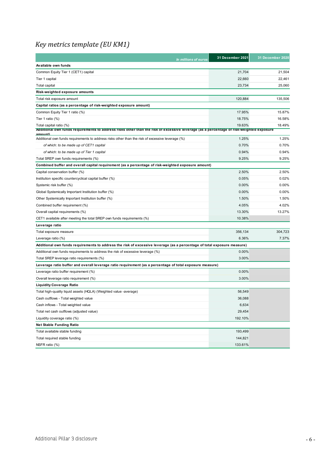## <span id="page-5-0"></span>*Key metrics template (EU KM1)*

| In millions of euros                                                                                                                                               | 31 December 2021 | 31 December 2020 |
|--------------------------------------------------------------------------------------------------------------------------------------------------------------------|------------------|------------------|
| Available own funds                                                                                                                                                |                  |                  |
| Common Equity Tier 1 (CET1) capital                                                                                                                                | 21,704           | 21,504           |
| Tier 1 capital                                                                                                                                                     | 22,660           | 22,461           |
| Total capital                                                                                                                                                      | 23,734           | 25,060           |
| Risk-weighted exposure amounts                                                                                                                                     |                  |                  |
| Total risk exposure amount                                                                                                                                         | 120,884          | 135,506          |
| Capital ratios (as a percentage of risk-weighted exposure amount)                                                                                                  |                  |                  |
| Common Equity Tier 1 ratio (%)                                                                                                                                     | 17.95%           | 15.87%           |
| Tier 1 ratio (%)                                                                                                                                                   | 18.75%           | 16.58%           |
| Total capital ratio (%)<br>Additional own funds requirements to address risks other than the risk of excessive leverage (as a percentage of risk-weighted exposure | 19.63%           | 18.49%           |
| amount<br>Additional own funds requirements to address risks other than the risk of excessive leverage (%)                                                         | 1.25%            | 1.25%            |
| of which: to be made up of CET1 capital                                                                                                                            | 0.70%            | 0.70%            |
| of which: to be made up of Tier 1 capital                                                                                                                          | 0.94%            | 0.94%            |
| Total SREP own funds requirements (%)                                                                                                                              | 9.25%            | 9.25%            |
| Combined buffer and overall capital requirement (as a percentage of risk-weighted exposure amount)                                                                 |                  |                  |
| Capital conservation buffer (%)                                                                                                                                    | 2.50%            | 2.50%            |
| Institution specific countercyclical capital buffer (%)                                                                                                            | 0.05%            | 0.02%            |
| Systemic risk buffer (%)                                                                                                                                           | 0.00%            | 0.00%            |
| Global Systemically Important Institution buffer (%)                                                                                                               | 0.00%            | 0.00%            |
| Other Systemically Important Institution buffer (%)                                                                                                                | 1.50%            | 1.50%            |
| Combined buffer requirement (%)                                                                                                                                    | 4.05%            | 4.02%            |
| Overall capital requirements (%)                                                                                                                                   | 13.30%           | 13.27%           |
| CET1 available after meeting the total SREP own funds requirements (%)                                                                                             | 10.38%           |                  |
| Leverage ratio                                                                                                                                                     |                  |                  |
| Total exposure measure                                                                                                                                             | 356,134          | 304,723          |
| Leverage ratio (%)                                                                                                                                                 | 6.36%            | 7.37%            |
| Additional own funds requirements to address the risk of excessive leverage (as a percentage of total exposure measure)                                            |                  |                  |
| Additional own funds requirements to address the risk of excessive leverage (%)                                                                                    | $0.00\%$         |                  |
| Total SREP leverage ratio requirements (%)                                                                                                                         | 3.00%            |                  |
| (Leverage ratio buffer and overall leverage ratio requirement (as a percentage of total exposure measure                                                           |                  |                  |
| Leverage ratio buffer requirement (%)                                                                                                                              | 0.00%            |                  |
| Overall leverage ratio requirement (%)                                                                                                                             | 3.00%            |                  |
| <b>Liquidity Coverage Ratio</b>                                                                                                                                    |                  |                  |
| Total high-quality liquid assets (HQLA) (Weighted value -average)                                                                                                  | 56,549           |                  |
| Cash outflows - Total weighted value                                                                                                                               | 36,088           |                  |
| Cash inflows - Total weighted value                                                                                                                                | 6,634            |                  |
| Total net cash outflows (adjusted value)                                                                                                                           | 29,454           |                  |
| Liquidity coverage ratio (%)                                                                                                                                       | 192.10%          |                  |
| <b>Net Stable Funding Ratio</b>                                                                                                                                    |                  |                  |
| Total available stable funding                                                                                                                                     | 193,499          |                  |
| Total required stable funding                                                                                                                                      | 144,821          |                  |
| NSFR ratio (%)                                                                                                                                                     | 133.61%          |                  |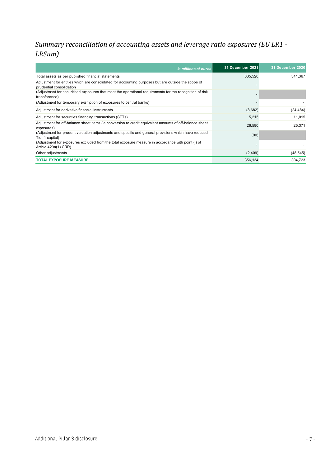#### <span id="page-6-0"></span>*Summary reconciliation of accounting assets and leverage ratio exposures (EU LR1 - LRSum)*

| In millions of euros                                                                                                            | 31 December 2021 | 31 December 2020 |
|---------------------------------------------------------------------------------------------------------------------------------|------------------|------------------|
| Total assets as per published financial statements                                                                              | 335,520          | 341,367          |
| Adjustment for entities which are consolidated for accounting purposes but are outside the scope of<br>prudential consolidation |                  |                  |
| (Adjustment for securitised exposures that meet the operational requirements for the recognition of risk<br>transference)       |                  |                  |
| (Adjustment for temporary exemption of exposures to central banks)                                                              |                  |                  |
| Adjustment for derivative financial instruments                                                                                 | (8,682)          | (24, 484)        |
| Adjustment for securities financing transactions (SFTs)                                                                         | 5,215            | 11,015           |
| Adjustment for off-balance sheet items (ie conversion to credit equivalent amounts of off-balance sheet<br>exposures)           | 26,580           | 25,371           |
| (Adjustment for prudent valuation adjustments and specific and general provisions which have reduced<br>Tier 1 capital)         | (90)             |                  |
| (Adjustment for exposures excluded from the total exposure measure in accordance with point (i) of<br>Article 429a(1) CRR)      |                  |                  |
| Other adjustments                                                                                                               | (2,409)          | (48, 545)        |
| <b>TOTAL EXPOSURE MEASURE</b>                                                                                                   | 356,134          | 304,723          |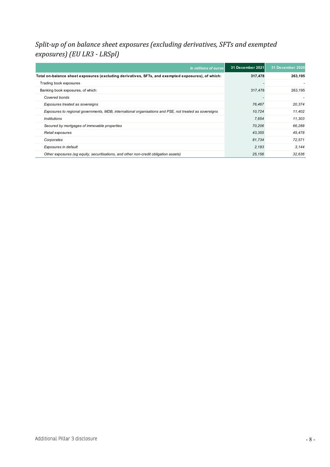#### <span id="page-7-0"></span>*Split-up of on balance sheet exposures (excluding derivatives, SFTs and exempted exposures) (EU LR3 - LRSpl)*

| In millions of euros                                                                                   | 31 December 2021 | 31 December 2020 |
|--------------------------------------------------------------------------------------------------------|------------------|------------------|
| Total on-balance sheet exposures (excluding derivatives, SFTs, and exempted exposures), of which:      | 317,478          | 263,195          |
| Trading book exposures                                                                                 |                  |                  |
| Banking book exposures, of which:                                                                      | 317,478          | 263,195          |
| Covered bonds                                                                                          |                  |                  |
| Exposures treated as sovereigns                                                                        | 76,467           | 20.374           |
| Exposures to regional governments, MDB, international organisations and PSE, not treated as sovereigns | 10,724           | 11.402           |
| <i><b>Institutions</b></i>                                                                             | 7,654            | 11.303           |
| Secured by mortgages of immovable properties                                                           | 70,206           | 66.288           |
| Retail exposures                                                                                       | 43,355           | 45.478           |
| Corporates                                                                                             | 81,734           | 72.571           |
| Exposures in default                                                                                   | 2,183            | 3.144            |
| Other exposures (eg equity, securitisations, and other non-credit obligation assets)                   | 25,156           | 32,636           |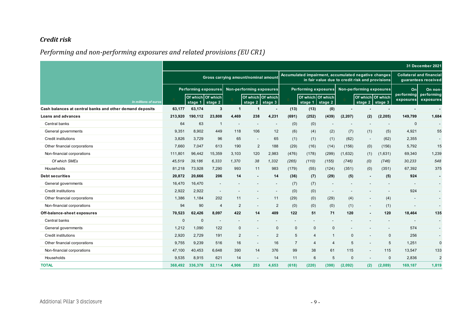#### *Credit risk*

## *Performing and non-performing exposures and related provisions (EU CR1)*

<span id="page-8-1"></span><span id="page-8-0"></span>

|                                                                                  |              |                                                                                                                                                 |                |                          |                          |                |                |                      |                          |              |                                 |              |                         | 31 December 2021                                       |
|----------------------------------------------------------------------------------|--------------|-------------------------------------------------------------------------------------------------------------------------------------------------|----------------|--------------------------|--------------------------|----------------|----------------|----------------------|--------------------------|--------------|---------------------------------|--------------|-------------------------|--------------------------------------------------------|
|                                                                                  |              | Accumulated impairment, accumulated negative changes<br>Gross carrying amount/nominal amount<br>in fair value due to credit risk and provisions |                |                          |                          |                |                |                      |                          |              |                                 |              |                         | <b>Collateral and financial</b><br>quarantees received |
|                                                                                  |              | <b>Performing exposures</b>                                                                                                                     |                | Non-performing exposures |                          |                |                | Performing exposures |                          |              | <b>Non-performing exposures</b> |              | On                      | On non                                                 |
|                                                                                  |              | Of which Of which                                                                                                                               |                |                          | Of which Of which        |                |                | Of which Of which    |                          |              | Of which Of which               |              | performing<br>exposures | performing<br>exposures                                |
| In millions of euros<br>Cash balances at central banks and other demand deposits | 63,177       | stage 1<br>63,174                                                                                                                               | stage 2<br>3   | -1                       | stage $2$ stage 3<br>-1  |                | (13)           | stage 1<br>(13)      | stage 2<br>(0)           |              | stage 2                         | stage 3      |                         | $\blacksquare$                                         |
| Loans and advances                                                               | 213,920      | 190,112                                                                                                                                         | 23,808         | 4,469                    | 238                      | 4,231          | (691)          | (252)                | (439)                    | (2, 207)     | (2)                             | (2, 205)     | 149,799                 | 1,684                                                  |
| Central banks                                                                    | 64           | 63                                                                                                                                              | $\overline{1}$ |                          | $\overline{\phantom{a}}$ |                | (0)            | (0)                  | $\overline{\phantom{a}}$ |              |                                 |              | $\Omega$                |                                                        |
| General governments                                                              | 9.351        | 8.902                                                                                                                                           | 449            | 118                      | 106                      | 12             | (6)            | (4)                  | (2)                      | (7)          | (1)                             | (5)          | 4,921                   | 55                                                     |
| Credit institutions                                                              | 3,826        | 3,729                                                                                                                                           | 96             | 65                       | $\blacksquare$           | 65             | (1)            | (1)                  | (1)                      | (62)         |                                 | (62)         | 2,355                   |                                                        |
| Other financial corporations                                                     | 7,660        | 7,047                                                                                                                                           | 613            | 190                      | $\overline{2}$           | 188            | (29)           | (16)                 | (14)                     | (156)        | (0)                             | (156)        | 5,792                   | 15                                                     |
| Non-financial corporations                                                       | 111,801      | 96,442                                                                                                                                          | 15,359         | 3,103                    | 120                      | 2,983          | (476)          | (178)                | (299)                    | (1,632)      | (1)                             | (1,631)      | 69,340                  | 1,239                                                  |
| Of which SMEs                                                                    | 45,519       | 39,186                                                                                                                                          | 6,333          | 1,370                    | 38                       | 1,332          | (265)          | (110)                | (155)                    | (746)        | (0)                             | (746)        | 30,233                  | 548                                                    |
| Households                                                                       | 81,218       | 73,928                                                                                                                                          | 7,290          | 993                      | 11                       | 983            | (179)          | (55)                 | (124)                    | (351)        | (0)                             | (351)        | 67,392                  | 375                                                    |
| <b>Debt securities</b>                                                           | 20,872       | 20.666                                                                                                                                          | 206            | 14                       | $\blacksquare$           | 14             | (36)           | (7)                  | (29)                     | (5)          | $\sim$                          | (5)          | 924                     | $\sim$                                                 |
| General governments                                                              | 16,470       | 16,470                                                                                                                                          |                |                          |                          |                | (7)            | (7)                  | $\overline{\phantom{a}}$ |              |                                 |              |                         |                                                        |
| <b>Credit institutions</b>                                                       | 2.922        | 2,922                                                                                                                                           |                |                          |                          |                | (0)            | (0)                  | $\overline{\phantom{a}}$ |              |                                 |              | 924                     |                                                        |
| Other financial corporations                                                     | 1,386        | 1,184                                                                                                                                           | 202            | 11                       | $\overline{\phantom{a}}$ | 11             | (29)           | (0)                  | (29)                     | (4)          | $\overline{\phantom{a}}$        | (4)          |                         | $\overline{\phantom{a}}$                               |
| Non-financial corporations                                                       | 94           | 90                                                                                                                                              | $\overline{4}$ | $\overline{2}$           | $\overline{a}$           | $\overline{2}$ | (0)            | (0)                  | (0)                      | (1)          |                                 | (1)          |                         |                                                        |
| Off-balance-sheet exposures                                                      | 70,523       | 62,426                                                                                                                                          | 8,097          | 422                      | 14                       | 409            | 122            | 51                   | 71                       | 120          |                                 | 120          | 18,464                  | 135                                                    |
| Central banks                                                                    | $\mathbf{0}$ | $\mathbf 0$                                                                                                                                     |                |                          |                          |                |                |                      | $\overline{\phantom{a}}$ |              |                                 |              |                         | $\overline{\phantom{a}}$                               |
| General governments                                                              | 1,212        | 1,090                                                                                                                                           | 122            | $\mathbf 0$              | $\overline{\phantom{a}}$ | $\mathbf 0$    | $\Omega$       | $\mathbf{0}$         | $\mathbf 0$              |              |                                 |              | 574                     |                                                        |
| <b>Credit institutions</b>                                                       | 2,920        | 2,729                                                                                                                                           | 191            | 2                        | $\overline{\phantom{a}}$ | 2              | 5              | 4                    | $\mathbf{1}$             | $\mathbf{0}$ |                                 | $\Omega$     | 256                     |                                                        |
| Other financial corporations                                                     | 9,755        | 9,239                                                                                                                                           | 516            | 16                       | $\overline{\phantom{a}}$ | 16             | $\overline{7}$ | $\overline{4}$       | $\overline{4}$           | 5            |                                 | 5            | 1,251                   | $\mathbf{0}$                                           |
| Non-financial corporations                                                       | 47,100       | 40,453                                                                                                                                          | 6,648          | 390                      | 14                       | 376            | 99             | 38                   | 61                       | 115          |                                 | 115          | 13,547                  | 133                                                    |
| Households                                                                       | 9,535        | 8,915                                                                                                                                           | 621            | 14                       | $\overline{\phantom{a}}$ | 14             | 11             | 6                    | 5                        | $\mathbf 0$  |                                 | $\mathbf{0}$ | 2,836                   | $\overline{2}$                                         |
| <b>TOTAL</b>                                                                     | 368,492      | 336,378                                                                                                                                         | 32,114         | 4,906                    | 253                      | 4,653          | (618)          | (220)                | (398)                    | (2,092)      | (2)                             | (2,089)      | 169,187                 | 1,819                                                  |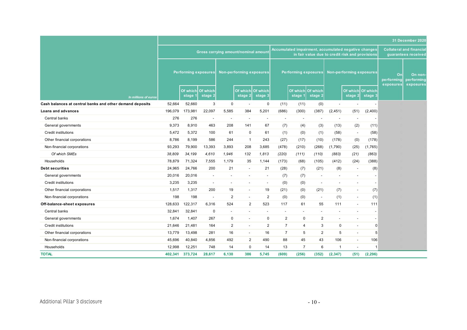|                                                          |                                                                                                                                                 |                              |                          |                          |                                 |                          |                          |                              |                          |                          |                              |                                                        |                               | 31 December 2020                   |
|----------------------------------------------------------|-------------------------------------------------------------------------------------------------------------------------------------------------|------------------------------|--------------------------|--------------------------|---------------------------------|--------------------------|--------------------------|------------------------------|--------------------------|--------------------------|------------------------------|--------------------------------------------------------|-------------------------------|------------------------------------|
|                                                          | Accumulated impairment, accumulated negative changes<br>Gross carrying amount/nominal amount<br>in fair value due to credit risk and provisions |                              |                          |                          |                                 |                          |                          |                              |                          |                          |                              | <b>Collateral and financial</b><br>guarantees received |                               |                                    |
|                                                          |                                                                                                                                                 |                              |                          |                          |                                 |                          |                          |                              |                          |                          |                              |                                                        |                               |                                    |
|                                                          |                                                                                                                                                 | <b>Performing exposures</b>  |                          |                          | <b>Non-performing exposures</b> |                          |                          | <b>Performing exposures</b>  |                          |                          | Non-performing exposures     |                                                        | On<br>performing<br>exposures | On non-<br>performing<br>exposures |
| In millions of euros                                     |                                                                                                                                                 | Of which Of which<br>stage 1 | stage 2                  |                          | Of which Of which<br>stage 2    | stage 3                  |                          | Of which Of which<br>stage 1 | stage 2                  |                          | Of which Of which<br>stage 2 | stage 3                                                |                               |                                    |
| Cash balances at central banks and other demand deposits | 52,664                                                                                                                                          | 52,660                       | 3                        | 0                        |                                 | 0                        | (11)                     | (11)                         | (0)                      | $\overline{\phantom{a}}$ | $\overline{\phantom{a}}$     |                                                        |                               |                                    |
| <b>Loans and advances</b>                                | 196,079                                                                                                                                         | 173,981                      | 22,097                   | 5,585                    | 384                             | 5,201                    | (686)                    | (300)                        | (387)                    | (2, 451)                 | (51)                         | (2,400)                                                |                               |                                    |
| Central banks                                            | 276                                                                                                                                             | 276                          | $\overline{\phantom{a}}$ |                          | $\overline{\phantom{a}}$        |                          | $\overline{\phantom{a}}$ | $\overline{\phantom{a}}$     |                          |                          | $\overline{\phantom{a}}$     |                                                        |                               |                                    |
| General governments                                      | 9,373                                                                                                                                           | 8,910                        | 463                      | 208                      | 141                             | 67                       | (7)                      | (4)                          | (3)                      | (13)                     | (2)                          | (11)                                                   |                               |                                    |
| Credit institutions                                      | 5,472                                                                                                                                           | 5,372                        | 100                      | 61                       | $\mathbf 0$                     | 61                       | (1)                      | (0)                          | (1)                      | (58)                     | $\overline{\phantom{a}}$     | (58)                                                   |                               |                                    |
| Other financial corporations                             | 8,786                                                                                                                                           | 8,199                        | 586                      | 244                      | $\overline{1}$                  | 243                      | (27)                     | (17)                         | (10)                     | (178)                    | (0)                          | (178)                                                  |                               |                                    |
| Non-financial corporations                               | 93,293                                                                                                                                          | 79,900                       | 13,393                   | 3,893                    | 208                             | 3,685                    | (478)                    | (210)                        | (268)                    | (1,790)                  | (25)                         | (1,765)                                                |                               |                                    |
| Of which SMEs                                            | 38,809                                                                                                                                          | 34,199                       | 4,610                    | 1,946                    | 132                             | 1,813                    | (220)                    | (111)                        | (110)                    | (883)                    | (21)                         | (863)                                                  |                               |                                    |
| Households                                               | 78,879                                                                                                                                          | 71,324                       | 7,555                    | 1,179                    | 35                              | 1,144                    | (173)                    | (68)                         | (105)                    | (412)                    | (24)                         | (388)                                                  |                               |                                    |
| <b>Debt securities</b>                                   | 24,965                                                                                                                                          | 24,766                       | 200                      | 21                       | $\overline{\phantom{a}}$        | 21                       | (28)                     | (7)                          | (21)                     | (8)                      | $\overline{\phantom{a}}$     | (8)                                                    |                               |                                    |
| General governments                                      | 20,016                                                                                                                                          | 20,016                       | $\overline{\phantom{a}}$ | $\overline{\phantom{a}}$ | $\overline{\phantom{a}}$        | $\overline{\phantom{a}}$ | (7)                      | (7)                          | $\overline{\phantom{a}}$ | $\overline{\phantom{a}}$ | $\overline{a}$               | $\overline{\phantom{a}}$                               |                               |                                    |
| <b>Credit institutions</b>                               | 3,235                                                                                                                                           | 3,235                        | $\overline{\phantom{a}}$ |                          |                                 |                          | (0)                      | (0)                          | $\overline{\phantom{a}}$ | $\overline{\phantom{a}}$ | $\overline{\phantom{a}}$     | $\overline{\phantom{a}}$                               |                               |                                    |
| Other financial corporations                             | 1,517                                                                                                                                           | 1,317                        | 200                      | 19                       | $\overline{\phantom{a}}$        | 19                       | (21)                     | (0)                          | (21)                     | (7)                      | $\overline{\phantom{a}}$     | (7)                                                    |                               |                                    |
| Non-financial corporations                               | 198                                                                                                                                             | 198                          | $\overline{\phantom{a}}$ | 2                        | $\overline{\phantom{a}}$        | $\overline{2}$           | (0)                      | (0)                          | $\overline{\phantom{a}}$ | (1)                      | $\blacksquare$               | (1)                                                    |                               |                                    |
| Off-balance-sheet exposures                              | 128,633                                                                                                                                         | 122,317                      | 6,316                    | 524                      | $\overline{2}$                  | 523                      | 117                      | 61                           | 55                       | 111                      | $\overline{a}$               | 111                                                    |                               |                                    |
| Central banks                                            | 32,841                                                                                                                                          | 32,841                       | $\mathbf 0$              | $\overline{a}$           | $\overline{a}$                  |                          | $\overline{\phantom{0}}$ | $\overline{\phantom{a}}$     | $\overline{a}$           | $\overline{a}$           | $\overline{a}$               |                                                        |                               |                                    |
| General governments                                      | 1,674                                                                                                                                           | 1,407                        | 267                      | 0                        | $\overline{\phantom{a}}$        | 0                        | 2                        | $\mathbf 0$                  | $\overline{2}$           |                          | $\overline{a}$               |                                                        |                               |                                    |
| Credit institutions                                      | 21,646                                                                                                                                          | 21,481                       | 164                      | $\overline{c}$           | $\overline{\phantom{a}}$        | $\overline{2}$           | $\overline{7}$           | $\overline{4}$               | 3                        | 0                        | $\overline{a}$               | $\Omega$                                               |                               |                                    |
| Other financial corporations                             | 13,779                                                                                                                                          | 13,498                       | 281                      | 16                       | $\overline{\phantom{a}}$        | 16                       | $\overline{7}$           | 5                            | $\overline{2}$           | 5                        | $\overline{a}$               | 5                                                      |                               |                                    |
| Non-financial corporations                               | 45,696                                                                                                                                          | 40,840                       | 4,856                    | 492                      | $\overline{2}$                  | 490                      | 88                       | 45                           | 43                       | 106                      |                              | 106                                                    |                               |                                    |
| Households                                               | 12,998                                                                                                                                          | 12,251                       | 748                      | 14                       | $\mathbf 0$                     | 14                       | 13                       | $\overline{7}$               | $6\phantom{1}6$          | $\mathbf{1}$             | $\overline{\phantom{a}}$     | r.                                                     |                               |                                    |
| <b>TOTAL</b>                                             | 402,341                                                                                                                                         | 373,724                      | 28,617                   | 6,130                    | 386                             | 5,745                    | (609)                    | (256)                        | (352)                    | (2, 347)                 | (51)                         | (2, 296)                                               |                               |                                    |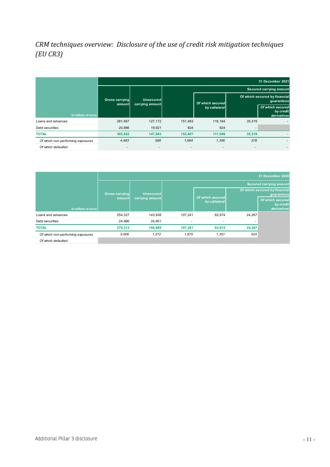#### <span id="page-10-0"></span>*CRM techniques overview: Disclosure of the use of credit risk mitigation techniques (EU CR3)*

|                                   |                           |                              |                          |                  |        | 31 December 2021                             |
|-----------------------------------|---------------------------|------------------------------|--------------------------|------------------|--------|----------------------------------------------|
|                                   |                           |                              |                          |                  |        | <b>Secured carrying amount</b>               |
|                                   | Gross carrying<br>amountl | Unsecured<br>carrying amount |                          | Of which secured |        | Of which secured by financial<br>guarantees  |
| In millions of euros              |                           |                              |                          | by collateral    |        | Of which secured<br>by credit<br>derivatives |
| Loans and advances                | 281,567                   | 127,172                      | 151,483                  | 116,164          | 35,319 |                                              |
| Debt securities                   | 20,886                    | 19,921                       | 924                      | 924              |        |                                              |
| <b>TOTAL</b>                      | 302,452                   | 147,093                      | 152,407                  | 117,088          | 35,319 |                                              |
| Of which non-performing exposures | 4,483                     | 588                          | 1,684                    | 1,306            | 378    |                                              |
| Of which defaulted                | $\overline{\phantom{a}}$  | $\overline{a}$               | $\overline{\phantom{0}}$ | ۰                |        |                                              |

|                                   |                       |                  |         |                                   |                                             | 31 December 2020                             |
|-----------------------------------|-----------------------|------------------|---------|-----------------------------------|---------------------------------------------|----------------------------------------------|
|                                   |                       |                  |         |                                   |                                             | <b>Secured carrying amount</b>               |
|                                   | <b>Gross carrying</b> | <b>Unsecured</b> |         |                                   | Of which secured by financial<br>guarantees |                                              |
| In millions of euros              | amount                | carrying amount  |         | Of which secured<br>by collateral |                                             | Of which secured<br>by credit<br>derivatives |
| Loans and advances                | 254.327               | 143.938          | 107.241 | 82,974                            | 24,267                                      |                                              |
| Debt securities                   | 24,986                | 24,951           | ٠       | ٠                                 |                                             |                                              |
| <b>TOTAL</b>                      | 279,313               | 168,889          | 107,241 | 82,974                            | 24,267                                      |                                              |
| Of which non-performing exposures | 5.606                 | 1.272            | 1.875   | 1.351                             | 524                                         |                                              |
| Of which defaulted                |                       |                  |         |                                   |                                             |                                              |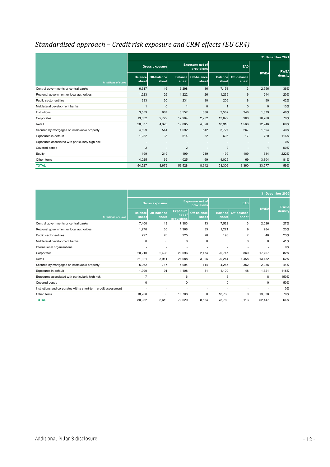## <span id="page-11-0"></span>*Standardised approach – Credit risk exposure and CRM effects (EU CR4)*

|                                                  | 31 December 2021        |                          |                         |                                      |                         |                      |              |             |  |  |  |
|--------------------------------------------------|-------------------------|--------------------------|-------------------------|--------------------------------------|-------------------------|----------------------|--------------|-------------|--|--|--|
|                                                  |                         | <b>Gross exposure</b>    |                         | <b>Exposure net of</b><br>provisions |                         | EAD                  |              | <b>RWEA</b> |  |  |  |
| In millions of euros                             | <b>Balance</b><br>sheet | Off-balance<br>sheet     | <b>Balance</b><br>sheet | Off-balance<br>sheet                 | <b>Balance</b><br>sheet | Off-balance<br>sheet | <b>RWEA</b>  | density     |  |  |  |
| Central governments or central banks             | 6,317                   | 16                       | 6,298                   | 16                                   | 7,153                   | 3                    | 2,556        | 36%         |  |  |  |
| Regional government or local authorities         | 1,223                   | 26                       | 1.222                   | 26                                   | 1.239                   | 6                    | 244          | 20%         |  |  |  |
| Public sector entities                           | 233                     | 30                       | 231                     | 30                                   | 206                     | 8                    | 90           | 42%         |  |  |  |
| Multilateral development banks                   | $\mathbf{1}$            | 0                        | $\overline{1}$          | $\mathbf 0$                          | $\overline{1}$          | $\mathbf{0}$         | $\mathbf{0}$ | 13%         |  |  |  |
| <b>Institutions</b>                              | 3,559                   | 687                      | 3,557                   | 686                                  | 3,562                   | 346                  | 1,879        | 48%         |  |  |  |
| Corporates                                       | 13,032                  | 2,729                    | 12,904                  | 2,702                                | 13,679                  | 968                  | 10,260       | 70%         |  |  |  |
| Retail                                           | 20,077                  | 4,325                    | 19,885                  | 4,320                                | 18,910                  | 1,566                | 12,246       | 60%         |  |  |  |
| Secured by mortgages on immovable property       | 4,629                   | 544                      | 4,592                   | 542                                  | 3,727                   | 267                  | 1,594        | 40%         |  |  |  |
| Exposures in default                             | 1,232                   | 35                       | 614                     | 32                                   | 605                     | 17                   | 720          | 116%        |  |  |  |
| Exposures associated with particularly high risk | $\blacksquare$          | $\blacksquare$           |                         |                                      |                         |                      |              | 0%          |  |  |  |
| Covered bonds                                    | $\overline{2}$          | $\overline{\phantom{a}}$ | $\overline{2}$          |                                      | $\overline{2}$          |                      | $\mathbf{1}$ | 50%         |  |  |  |
| Equity                                           | 199                     | 219                      | 199                     | 219                                  | 199                     | 109                  | 684          | 222%        |  |  |  |
| Other items                                      | 4,025                   | 69                       | 4,025                   | 69                                   | 4,025                   | 69                   | 3,304        | 81%         |  |  |  |
| <b>TOTAL</b>                                     | 54,527                  | 8,679                    | 53,528                  | 8,642                                | 53,306                  | 3,360                | 33,577       | 59%         |  |  |  |

|                                                                 |                         |                             |                                         |                                      |                         |                          |                | 31 December 2020 |
|-----------------------------------------------------------------|-------------------------|-----------------------------|-----------------------------------------|--------------------------------------|-------------------------|--------------------------|----------------|------------------|
|                                                                 |                         | <b>Gross exposure</b>       |                                         | <b>Exposure net of</b><br>provisions |                         | EAD                      |                | <b>RWEA</b>      |
| In millions of euros                                            | <b>Balance</b><br>sheet | <b>Off-balance</b><br>sheet | <b>Exposure</b><br>net of<br>provisions | Off-balance<br>sheet                 | <b>Balance</b><br>sheet | Off-balance<br>sheet     | <b>RWEA</b>    | density          |
| Central governments or central banks                            | 7,400                   | 13                          | 7,383                                   | 13                                   | 7,522                   | 3                        | 2,026          | 27%              |
| Regional government or local authorities                        | 1,270                   | 35                          | 1,268                                   | 35                                   | 1,221                   | 9                        | 284            | 23%              |
| Public sector entities                                          | 227                     | 28                          | 225                                     | 28                                   | 193                     | $\overline{7}$           | 46             | 23%              |
| Multilateral development banks                                  | 0                       | $\mathbf 0$                 | 0                                       | 0                                    | 0                       | 0                        | 0              | 41%              |
| International organisations                                     |                         |                             |                                         |                                      |                         |                          |                | 0%               |
| Corporates                                                      | 20.210                  | 2,498                       | 20,096                                  | 2,474                                | 20,747                  | 860                      | 17.707         | 82%              |
| Retail                                                          | 21,321                  | 3,911                       | 21,088                                  | 3,905                                | 20,244                  | 1,458                    | 13,432         | 62%              |
| Secured by mortgages on immovable property                      | 5,062                   | 717                         | 5,004                                   | 714                                  | 4,285                   | 352                      | 2,035          | 44%              |
| Exposures in default                                            | 1,990                   | 91                          | 1,108                                   | 81                                   | 1,100                   | 48                       | 1,321          | 115%             |
| Exposures associated with particularly high risk                | $\overline{7}$          | $\overline{\phantom{a}}$    | 6                                       | $\overline{\phantom{a}}$             | 6                       | $\overline{\phantom{a}}$ | 8              | 150%             |
| Covered bonds                                                   | 0                       | $\overline{\phantom{a}}$    | $\mathbf 0$                             | $\overline{\phantom{a}}$             | 0                       | ٠                        | 0              | 50%              |
| Institutions and corporates with a short-term credit assessment |                         |                             |                                         |                                      |                         | ٠                        | $\overline{a}$ | 0%               |
| Other items                                                     | 18,708                  | 0                           | 18,708                                  | $\mathbf 0$                          | 18,708                  | 0                        | 13,038         | 70%              |
| <b>TOTAL</b>                                                    | 80,932                  | 8,610                       | 79,620                                  | 8,564                                | 78.760                  | 3.113                    | 52,147         | 64%              |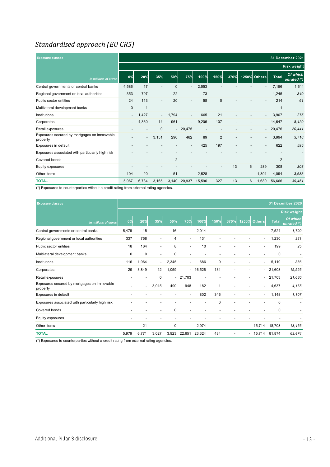#### <span id="page-12-0"></span>*Standardised approach (EU CR5)*

| <b>Exposure classes</b>                                 |                          |                              |                          |                |                          |                |                          |                          | 31 December 2021         |                          |                          |                          |
|---------------------------------------------------------|--------------------------|------------------------------|--------------------------|----------------|--------------------------|----------------|--------------------------|--------------------------|--------------------------|--------------------------|--------------------------|--------------------------|
|                                                         |                          |                              |                          |                |                          |                |                          |                          |                          |                          |                          | <b>Risk weight</b>       |
| In millions of euros                                    | 0%                       | 20%                          | 35%                      | 50%            | <b>75%</b>               | 100%           | 150%                     | 370%                     |                          | 1250% Others             | <b>Total</b>             | Of which<br>unrated (*)  |
| Central governments or central banks                    | 4,586                    | 17                           | $\overline{\phantom{0}}$ | $\mathbf 0$    | $\overline{\phantom{a}}$ | 2,553          |                          |                          |                          |                          | 7,156                    | 1,611                    |
| Regional government or local authorities                | 353                      | 797                          | $\overline{\phantom{a}}$ | 22             | $\overline{\phantom{a}}$ | 73             | $\overline{\phantom{a}}$ |                          |                          | $\overline{\phantom{0}}$ | 1,245                    | 340                      |
| Public sector entities                                  | 24                       | 113                          | $\overline{\phantom{a}}$ | 20             | $\overline{\phantom{a}}$ | 58             | $\mathbf 0$              |                          | $\overline{\phantom{a}}$ | $\overline{\phantom{a}}$ | 214                      | 61                       |
| Multilateral development banks                          | $\mathbf{0}$             |                              |                          |                |                          |                |                          |                          |                          |                          | $\mathbf{1}$             |                          |
| Institutions                                            |                          | 1,427                        | $\sim$                   | 1,794          | $\overline{\phantom{a}}$ | 665            | 21                       |                          |                          | $\sim$                   | 3,907                    | 275                      |
| Corporates                                              |                          | 4,360                        | 14                       | 961            | $\overline{\phantom{a}}$ | 9,206          | 107                      |                          | $\overline{\phantom{0}}$ |                          | 14,647                   | 8,420                    |
| Retail exposures                                        |                          |                              | 0                        |                | $-20,475$                | $\overline{a}$ |                          |                          |                          | $\sim$                   | 20,476                   | 20,441                   |
| Exposures secured by mortgages on immovable<br>property |                          | $\blacksquare$               | 3,151                    | 290            | 462                      | 89             | $\overline{2}$           |                          |                          |                          | 3,994                    | 3,716                    |
| Exposures in default                                    | $\overline{\phantom{a}}$ | $\qquad \qquad \blacksquare$ | $\overline{\phantom{a}}$ |                | $\overline{\phantom{a}}$ | 425            | 197                      | $\overline{\phantom{a}}$ | $\blacksquare$           | $\overline{\phantom{a}}$ | 622                      | 595                      |
| Exposures associated with particularly high risk        |                          |                              |                          |                |                          |                |                          | $\overline{\phantom{a}}$ | $\overline{\phantom{a}}$ |                          | $\overline{\phantom{a}}$ | $\overline{\phantom{a}}$ |
| Covered bonds                                           |                          | $\blacksquare$               | $\overline{\phantom{a}}$ | $\overline{2}$ | $\overline{\phantom{0}}$ | $\blacksquare$ | $\overline{\phantom{a}}$ |                          | $\overline{\phantom{a}}$ | $\overline{\phantom{a}}$ | $\overline{2}$           | $\overline{\phantom{a}}$ |
| Equity exposures                                        |                          |                              |                          |                |                          |                | $\overline{\phantom{a}}$ | 13                       | 6                        | 289                      | 308                      | 308                      |
| Other items                                             | 104                      | 20                           | $\overline{\phantom{a}}$ | 51             | $\overline{\phantom{a}}$ | 2,528          | $\overline{\phantom{a}}$ |                          | $\frac{1}{2}$            | 1,391                    | 4,094                    | 3,683                    |
| <b>TOTAL</b>                                            | 5,067                    | 6,734                        | 3,165                    | 3,140          | 20,937                   | 15,596         | 327                      | 13                       | 6                        | 1,680                    | 56,666                   | 39,451                   |

(\*) Exposures to counterparties without a credit rating from external rating agencies.

| <b>Exposure classes</b>                                 |             | 31 December 2020 |                          |       |                          |        |                          |                          |                          |                          |              |                          |
|---------------------------------------------------------|-------------|------------------|--------------------------|-------|--------------------------|--------|--------------------------|--------------------------|--------------------------|--------------------------|--------------|--------------------------|
|                                                         |             |                  |                          |       |                          |        |                          |                          |                          |                          |              | <b>Risk weight</b>       |
| In millions of euros                                    | 0%          | 20%              | 35%                      | 50%   | 75%                      | 100%   | 150%                     | 370%                     |                          | 1250% Others             | <b>Total</b> | Of which<br>unrated (*)  |
| Central governments or central banks                    | 5.479       | 15               |                          | 16    | $\blacksquare$           | 2,014  |                          |                          |                          |                          | 7,524        | 1,790                    |
| Regional government or local authorities                | 337         | 758              | $\overline{\phantom{a}}$ | 4     | $\overline{\phantom{a}}$ | 131    | $\overline{a}$           |                          | $\blacksquare$           |                          | 1,230        | 331                      |
| Public sector entities                                  | 18          | 164              | $\overline{\phantom{a}}$ | 8     | $\overline{\phantom{a}}$ | 10     | ٠                        |                          |                          |                          | 199          | 25                       |
| Multilateral development banks                          | $\mathbf 0$ | $\mathbf 0$      | $\overline{\phantom{a}}$ | 0     | $\overline{\phantom{0}}$ |        | ٠                        |                          |                          |                          | 0            | $\overline{\phantom{a}}$ |
| Institutions                                            | 116         | 1,964            | $\overline{\phantom{a}}$ | 2,345 | $\overline{\phantom{a}}$ | 686    | 0                        |                          |                          | $\overline{\phantom{0}}$ | 5,110        | 386                      |
| Corporates                                              | 29          | 3,849            | 12                       | 1,059 | $\overline{\phantom{0}}$ | 16,526 | 131                      |                          |                          |                          | 21,608       | 15,526                   |
| Retail exposures                                        |             |                  | 0                        |       | $-21,703$                |        |                          |                          |                          |                          | $-21,703$    | 21,680                   |
| Exposures secured by mortgages on immovable<br>property |             | $\sim$           | 3,015                    | 490   | 948                      | 182    | 1                        | $\overline{\phantom{a}}$ |                          |                          | 4,637        | 4,165                    |
| Exposures in default                                    |             |                  |                          |       | ٠                        | 802    | 346                      | $\overline{\phantom{a}}$ |                          | $\overline{\phantom{a}}$ | 1,148        | 1,107                    |
| Exposures associated with particularly high risk        |             |                  |                          |       |                          |        | 6                        | $\overline{\phantom{a}}$ | $\overline{\phantom{a}}$ | $\overline{a}$           | 6            | $\overline{\phantom{a}}$ |
| Covered bonds                                           |             |                  |                          | 0     | $\overline{\phantom{0}}$ |        | ٠                        |                          |                          | $\overline{\phantom{a}}$ | 0            | $\overline{\phantom{a}}$ |
| Equity exposures                                        |             |                  |                          |       |                          |        |                          |                          |                          |                          |              |                          |
| Other items                                             |             | 21               | $\overline{\phantom{a}}$ | 0     | $\overline{\phantom{a}}$ | 2,974  | $\overline{\phantom{a}}$ | $\overline{\phantom{a}}$ |                          | $-15,714$                | 18,708       | 18,466                   |
| <b>TOTAL</b>                                            | 5,979       | 6,771            | 3,027                    | 3,923 | 22,651                   | 23,324 | 484                      |                          |                          | $-15,714$                | 81,874       | 63,474                   |

<span id="page-12-1"></span>(\*) Exposures to counterparties without a credit rating from external rating agencies.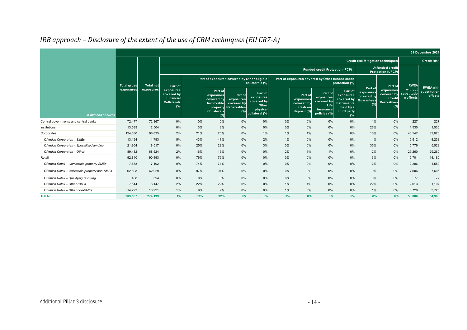|                                               |                    |                  |                                                                             |       |                                                                                              |                                                                |                                                                           |       |                                                              |                                                                         |                                                                                             |                                                         |                                                                |                                     | 31 December 202                             |
|-----------------------------------------------|--------------------|------------------|-----------------------------------------------------------------------------|-------|----------------------------------------------------------------------------------------------|----------------------------------------------------------------|---------------------------------------------------------------------------|-------|--------------------------------------------------------------|-------------------------------------------------------------------------|---------------------------------------------------------------------------------------------|---------------------------------------------------------|----------------------------------------------------------------|-------------------------------------|---------------------------------------------|
|                                               |                    |                  |                                                                             |       |                                                                                              |                                                                |                                                                           |       |                                                              |                                                                         |                                                                                             | <b>Credit risk Mitigation techniques</b>                |                                                                |                                     | <b>Credit Risk</b>                          |
|                                               |                    |                  |                                                                             |       |                                                                                              |                                                                |                                                                           |       |                                                              | <b>Funded credit Protection (FCP)</b>                                   |                                                                                             |                                                         | <b>Unfunded credit</b><br>Protection (UFCP)                    |                                     |                                             |
|                                               | <b>Total gross</b> | <b>Total net</b> | Part of                                                                     |       |                                                                                              | Part of exposures covered by Other eligible                    | collaterals (%)                                                           |       | Part of exposures covered by Other funded credit             |                                                                         | protection (%)                                                                              |                                                         | Part of                                                        | <b>RWEA</b>                         |                                             |
| In millions of euros                          | exposures          | exposures        | exposures<br>covered by<br><b>Financial</b><br><b>Collaterals</b><br>$(\%)$ |       | Part of<br>exposures<br>covered by<br>Immovable<br>property<br><b>Collaterals</b><br>$(\% )$ | Part of<br>exposures<br>covered by<br><b>Receivables</b><br>(% | Part of<br>exposures<br>covered by<br>Other<br>physical<br>collateral (%) |       | Part of<br>exposures<br>covered by<br>Cash on<br>deposit (%) | Part of<br>exposures<br>covered by<br>Life<br>insurance<br>policies (%) | Part of<br>exposures<br>covered by<br><b>Instruments</b><br>held by a<br>third party<br>(%) | Part of<br>exposures<br>covered by<br>Guarantees<br>(%) | exposures<br>covered by<br>Credit<br><b>Derivatives</b><br>(%) | without<br>substitutio<br>n effects | <b>RWEA</b> with<br>substitution<br>effects |
| Central governments and central banks         | 72,477             | 72,367           | 0%                                                                          | $0\%$ | $0\%$                                                                                        | 0%                                                             | 0%                                                                        | 0%    | 0%                                                           | 0%                                                                      | 0%                                                                                          | 1%                                                      | 0%                                                             | 227                                 | 227                                         |
| Institutions                                  | 13,589             | 12,504           | 0%                                                                          | 3%    | 3%                                                                                           | 0%                                                             | 0%                                                                        | 0%    | 0%                                                           | $0\%$                                                                   | 0%                                                                                          | 26%                                                     | 0%                                                             | 1,530                               | 1,530                                       |
| Corporates                                    | 124,630            | 98,835           | 2%                                                                          | 21%   | 20%                                                                                          | 0%                                                             | 1%                                                                        | 1%    | 1%                                                           | 1%                                                                      | 0%                                                                                          | 16%                                                     | 0%                                                             | 40,547                              | 39,026                                      |
| Of which Corporates - SMEs                    | 13,194             | 11,793           | 5%                                                                          | 43%   | 41%                                                                                          | 0%                                                             | 2%                                                                        | 1%    | 0%                                                           | 0%                                                                      | 0%                                                                                          | 4%                                                      | 0%                                                             | 5,512                               | 4,238                                       |
| Of which Corporates - Specialised lending     | 21,954             | 18.517           | 0%                                                                          | 25%   | 22%                                                                                          | 0%                                                             | 3%                                                                        | 0%    | $0\%$                                                        | $0\%$                                                                   | 0%                                                                                          | 35%                                                     | 0%                                                             | 5,776                               | 5,528                                       |
| Of which Corporates - Other                   | 89,482             | 68,524           | 2%                                                                          | 16%   | 16%                                                                                          | 0%                                                             | 0%                                                                        | 2%    | 1%                                                           | $1\%$                                                                   | 0%                                                                                          | 12%                                                     | 0%                                                             | 29,260                              | 29,260                                      |
| Retail                                        | 92.840             | 90.493           | 0%                                                                          | 76%   | 76%                                                                                          | 0%                                                             | 0%                                                                        | $0\%$ | 0%                                                           | 0%                                                                      | 0%                                                                                          | 3%                                                      | 0%                                                             | 15,701                              | 14,180                                      |
| Of which Retail - Immovable property SMEs     | 7,638              | 7,102            | 0%                                                                          | 74%   | 74%                                                                                          | 0%                                                             | 0%                                                                        | 0%    | 0%                                                           | 0%                                                                      | 0%                                                                                          | 12%                                                     | 0%                                                             | 2,286                               | 1,580                                       |
| Of which Retail - Immovable property non-SMEs | 62,898             | 62,929           | 0%                                                                          | 97%   | 97%                                                                                          | 0%                                                             | 0%                                                                        | 0%    | 0%                                                           | $0\%$                                                                   | 0%                                                                                          | 0%                                                      | 0%                                                             | 7,606                               | 7,606                                       |
| Of which Retail - Qualifying revolving        | 468                | 394              | 0%                                                                          | 0%    | 0%                                                                                           | 0%                                                             | $0\%$                                                                     | $0\%$ | $0\%$                                                        | 0%                                                                      | 0%                                                                                          | 0%                                                      | 0%                                                             | 77                                  | 77                                          |
| Of which Retail - Other SMEs                  | 7.544              | 6.147            | 2%                                                                          | 22%   | 22%                                                                                          | 0%                                                             | 0%                                                                        | 1%    | 1%                                                           | $0\%$                                                                   | 0%                                                                                          | 22%                                                     | 0%                                                             | 2,013                               | 1,197                                       |
| Of which Retail - Other non-SMEs              | 14.293             | 13.921           | $1\%$                                                                       | 9%    | 9%                                                                                           | 0%                                                             | 0%                                                                        | $1\%$ | 0%                                                           | $0\%$                                                                   | 0%                                                                                          | 1%                                                      | 0%                                                             | 3.720                               | 3,720                                       |
| <b>TOTAL</b>                                  | 303,537            | 274,199          | 1%                                                                          | 33%   | 32%                                                                                          | $0\%$                                                          | $0\%$                                                                     | 1%    | 0%                                                           | 0%                                                                      | 0%                                                                                          | 8%                                                      | 0%                                                             | 58,006                              | 54,963                                      |

## *IRB approach – Disclosure of the extent of the use of CRM techniques (EU CR7-A)*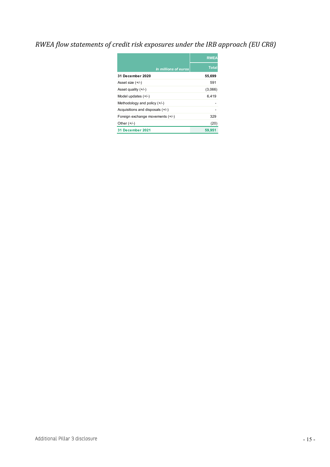## <span id="page-14-0"></span>*RWEA flow statements of credit risk exposures under the IRB approach (EU CR8)*

|                                  | <b>RWEA</b>  |
|----------------------------------|--------------|
| In millions of euros             | <b>Total</b> |
| <b>31 December 2020</b>          | 55,699       |
| Asset size $(+/-)$               | 591          |
| Asset quality $(+/-)$            | (3,066)      |
| Model updates $(+/-)$            | 6,419        |
| Methodology and policy $(+/-)$   |              |
| Acquisitions and disposals (+/-) |              |
| Foreign exchange movements (+/-) | 329          |
| Other $(+/-)$                    | (20)         |
| <b>31 December 2021</b>          | 59,951       |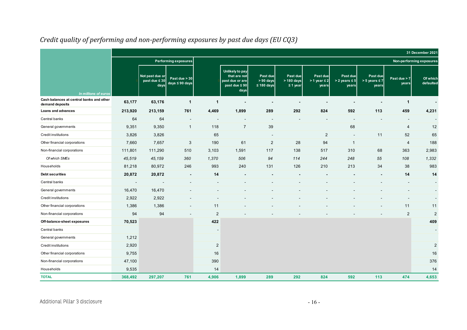<span id="page-15-0"></span>

|                                                             |                          |                                               |                                      |                |                                                                                  |                                               |                                         |                                          |                                           |                                           |                          | 31 December 2021         |
|-------------------------------------------------------------|--------------------------|-----------------------------------------------|--------------------------------------|----------------|----------------------------------------------------------------------------------|-----------------------------------------------|-----------------------------------------|------------------------------------------|-------------------------------------------|-------------------------------------------|--------------------------|--------------------------|
|                                                             |                          |                                               | <b>Performing exposures</b>          |                |                                                                                  |                                               |                                         |                                          |                                           |                                           |                          | Non-performing exposures |
| In millions of euros                                        |                          | Not past due or<br>past due $\leq 30$<br>days | Past due > 30<br>$days \leq 90$ days |                | Unlikely to pay<br>that are not<br>past due or are<br>past due $\leq 90$<br>days | Past due<br>$> 90 \text{ days}$<br>≤ 180 days | Past due<br>> 180 days<br>$\leq$ 1 year | Past due<br>$> 1$ year $\leq 2$<br>years | Past due<br>$> 2$ years $\leq 5$<br>years | Past due<br>$> 5$ years $\leq 7$<br>years | Past due $> 7$<br>years  | Of which<br>defaulted    |
| Cash balances at central banks and other<br>demand deposits | 63,177                   | 63,176                                        | $\overline{1}$                       | 1              |                                                                                  |                                               |                                         |                                          |                                           |                                           | $\overline{1}$           |                          |
| Loans and advances                                          | 213,920                  | 213,159                                       | 761                                  | 4,469          | 1,899                                                                            | 289                                           | 292                                     | 824                                      | 592                                       | 113                                       | 459                      | 4,231                    |
| Central banks                                               | 64                       | 64                                            |                                      | $\blacksquare$ |                                                                                  | $\overline{\phantom{a}}$                      |                                         |                                          |                                           |                                           | $\overline{\phantom{a}}$ |                          |
| General governments                                         | 9,351                    | 9,350                                         | $\overline{1}$                       | 118            | $\overline{7}$                                                                   | 39                                            |                                         |                                          | 68                                        |                                           | 4                        | 12                       |
| Credit institutions                                         | 3,826                    | 3,826                                         |                                      | 65             |                                                                                  |                                               |                                         | 2                                        |                                           | 11                                        | 52                       | 65                       |
| Other financial corporations                                | 7,660                    | 7,657                                         | 3                                    | 190            | 61                                                                               | $\overline{2}$                                | 28                                      | 94                                       | $\mathbf{1}$                              |                                           | 4                        | 188                      |
| Non-financial corporations                                  | 111,801                  | 111,290                                       | 510                                  | 3,103          | 1,591                                                                            | 117                                           | 138                                     | 517                                      | 310                                       | 68                                        | 363                      | 2,983                    |
| Of which SMEs                                               | 45,519                   | 45,159                                        | 360                                  | 1,370          | 506                                                                              | 94                                            | 114                                     | 244                                      | 248                                       | 55                                        | 108                      | 1,332                    |
| Households                                                  | 81,218                   | 80,972                                        | 246                                  | 993            | 240                                                                              | 131                                           | 126                                     | 210                                      | 213                                       | 34                                        | 38                       | 983                      |
| Debt securities                                             | 20,872                   | 20,872                                        | $\overline{\phantom{a}}$             | 14             |                                                                                  |                                               |                                         |                                          |                                           |                                           | 14                       | 14                       |
| Central banks                                               | $\overline{\phantom{a}}$ |                                               |                                      |                |                                                                                  |                                               |                                         |                                          |                                           |                                           |                          | $\overline{\phantom{a}}$ |
| General governments                                         | 16,470                   | 16,470                                        |                                      |                |                                                                                  |                                               |                                         |                                          |                                           |                                           |                          |                          |
| Credit institutions                                         | 2,922                    | 2,922                                         |                                      |                |                                                                                  |                                               |                                         |                                          |                                           |                                           |                          |                          |
| Other financial corporations                                | 1,386                    | 1,386                                         |                                      | 11             |                                                                                  |                                               |                                         |                                          |                                           |                                           | 11                       | 11                       |
| Non-financial corporations                                  | 94                       | 94                                            |                                      | 2              |                                                                                  |                                               |                                         |                                          |                                           |                                           | $\overline{2}$           | 2                        |
| Off-balance-sheet exposures                                 | 70,523                   |                                               |                                      | 422            |                                                                                  |                                               |                                         |                                          |                                           |                                           |                          | 409                      |
| Central banks                                               |                          |                                               |                                      |                |                                                                                  |                                               |                                         |                                          |                                           |                                           |                          | $\blacksquare$           |
| General governments                                         | 1,212                    |                                               |                                      |                |                                                                                  |                                               |                                         |                                          |                                           |                                           |                          |                          |
| Credit institutions                                         | 2,920                    |                                               |                                      | $\overline{2}$ |                                                                                  |                                               |                                         |                                          |                                           |                                           |                          | $\sqrt{2}$               |
| Other financial corporations                                | 9,755                    |                                               |                                      | 16             |                                                                                  |                                               |                                         |                                          |                                           |                                           |                          | 16                       |
| Non-financial corporations                                  | 47,100                   |                                               |                                      | 390            |                                                                                  |                                               |                                         |                                          |                                           |                                           |                          | 376                      |
| Households                                                  | 9,535                    |                                               |                                      | 14             |                                                                                  |                                               |                                         |                                          |                                           |                                           |                          | 14                       |
| <b>TOTAL</b>                                                | 368,492                  | 297,207                                       | 761                                  | 4,906          | 1,899                                                                            | 289                                           | 292                                     | 824                                      | 592                                       | 113                                       | 474                      | 4,653                    |

## *Credit quality of performing and non-performing exposures by past due days (EU CQ3)*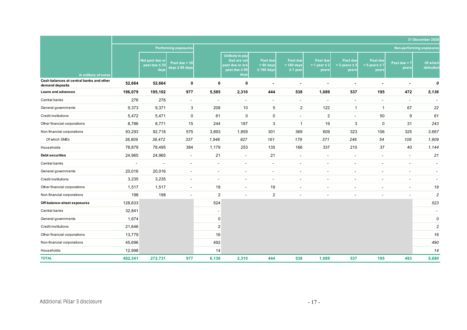|                                                             |                |                                               |                                      |                          |                                                                                         |                                            |                                           |                                          |                                           |                                           |                         | 31 December 2020         |
|-------------------------------------------------------------|----------------|-----------------------------------------------|--------------------------------------|--------------------------|-----------------------------------------------------------------------------------------|--------------------------------------------|-------------------------------------------|------------------------------------------|-------------------------------------------|-------------------------------------------|-------------------------|--------------------------|
|                                                             |                |                                               | <b>Performing exposures</b>          |                          |                                                                                         |                                            |                                           |                                          |                                           |                                           |                         | Non-performing exposures |
| In millions of euros                                        |                | Not past due or<br>past due $\leq 30$<br>days | Past due > 30<br>$days \leq 90$ days |                          | <b>Unlikely to pay</b><br>that are not<br>past due or are<br>past due $\leq 90$<br>days | Past due<br>$> 90$ days<br>$\leq 180$ days | Past due<br>$> 180$ days<br>$\leq$ 1 year | Past due<br>$> 1$ year $\leq 2$<br>years | Past due<br>$> 2$ years $\leq 5$<br>years | Past due<br>$> 5$ years $\leq 7$<br>years | Past due $> 7$<br>years | Of which<br>defaulted    |
| Cash balances at central banks and other<br>demand deposits | 52,664         | 52,664                                        | 0                                    | 0                        | 0                                                                                       | $\overline{\phantom{a}}$                   | $\blacksquare$                            |                                          |                                           |                                           |                         | 0                        |
| Loans and advances                                          | 196,079        | 195,102                                       | 977                                  | 5,585                    | 2,310                                                                                   | 444                                        | 538                                       | 1,089                                    | 537                                       | 195                                       | 472                     | 5,136                    |
| Central banks                                               | 276            | 276                                           | $\blacksquare$                       | $\overline{\phantom{a}}$ | $\blacksquare$                                                                          | $\blacksquare$                             | $\blacksquare$                            | $\overline{\phantom{a}}$                 | $\sim$                                    | $\qquad \qquad \blacksquare$              | $\blacksquare$          |                          |
| General governments                                         | 9,373          | 9,371                                         | 3                                    | 208                      | 10                                                                                      | 5                                          | $\overline{2}$                            | 122                                      | $\mathbf{1}$                              | $\mathbf{1}$                              | 67                      | 22                       |
| Credit institutions                                         | 5,472          | 5,471                                         | $\pmb{0}$                            | 61                       | $\pmb{0}$                                                                               | $\mathbf 0$                                | $\blacksquare$                            | 2                                        | $\sim$                                    | 50                                        | 9                       | 61                       |
| Other financial corporations                                | 8,786          | 8,771                                         | 15                                   | 244                      | 187                                                                                     | 3                                          | $\mathbf{1}$                              | 19                                       | 3                                         | $\pmb{0}$                                 | 31                      | 243                      |
| Non-financial corporations                                  | 93,293         | 92,718                                        | 575                                  | 3,893                    | 1,859                                                                                   | 301                                        | 369                                       | 609                                      | 323                                       | 106                                       | 325                     | 3,667                    |
| Of which SMEs                                               | 38,809         | 38,472                                        | 337                                  | 1,946                    | 827                                                                                     | 161                                        | 179                                       | 371                                      | 246                                       | 54                                        | 108                     | 1,809                    |
| Households                                                  | 78,879         | 78,495                                        | 384                                  | 1,179                    | 253                                                                                     | 135                                        | 166                                       | 337                                      | 210                                       | 37                                        | 40                      | 1,144                    |
| <b>Debt securities</b>                                      | 24,965         | 24,965                                        | $\blacksquare$                       | 21                       | $\sim$                                                                                  | 21                                         | $\sim$                                    | $\overline{a}$                           |                                           |                                           | $\sim$                  | 21                       |
| Central banks                                               | $\blacksquare$ | $\blacksquare$                                | $\blacksquare$                       | $\sim$                   | $\blacksquare$                                                                          | $\overline{\phantom{a}}$                   | $\overline{\phantom{a}}$                  | $\blacksquare$                           | $\blacksquare$                            | $\blacksquare$                            | $\sim$                  | $\overline{\phantom{a}}$ |
| General governments                                         | 20,016         | 20,016                                        | $\blacksquare$                       | $\overline{\phantom{a}}$ | $\blacksquare$                                                                          | $\blacksquare$                             | $\overline{a}$                            |                                          |                                           |                                           | $\sim$                  | $\overline{\phantom{a}}$ |
| Credit institutions                                         | 3,235          | 3,235                                         | $\blacksquare$                       |                          | $\blacksquare$                                                                          | $\blacksquare$                             | $\blacksquare$                            |                                          |                                           |                                           | $\blacksquare$          |                          |
| Other financial corporations                                | 1,517          | 1,517                                         | $\blacksquare$                       | 19                       | $\blacksquare$                                                                          | 19                                         | $\overline{\phantom{a}}$                  | $\overline{\phantom{a}}$                 | $\blacksquare$                            | $\blacksquare$                            | $\sim$                  | 19                       |
| Non-financial corporations                                  | 198            | 198                                           | $\blacksquare$                       | $\overline{2}$           | $\overline{a}$                                                                          | $\overline{2}$                             |                                           |                                          |                                           |                                           |                         | $\overline{c}$           |
| Off-balance-sheet exposures                                 | 128,633        |                                               |                                      | 524                      |                                                                                         |                                            |                                           |                                          |                                           |                                           |                         | 523                      |
| Central banks                                               | 32,841         |                                               |                                      | $\sim$                   |                                                                                         |                                            |                                           |                                          |                                           |                                           |                         | $\overline{\phantom{a}}$ |
| General governments                                         | 1,674          |                                               |                                      | $\Omega$                 |                                                                                         |                                            |                                           |                                          |                                           |                                           |                         | 0                        |
| Credit institutions                                         | 21,646         |                                               |                                      | $2 \nvert$               |                                                                                         |                                            |                                           |                                          |                                           |                                           |                         | $\sqrt{2}$               |
| Other financial corporations                                | 13,779         |                                               |                                      | 16                       |                                                                                         |                                            |                                           |                                          |                                           |                                           |                         | 16                       |
| Non-financial corporations                                  | 45,696         |                                               |                                      | 492                      |                                                                                         |                                            |                                           |                                          |                                           |                                           |                         | 490                      |
| Households                                                  | 12,998         |                                               |                                      | 14                       |                                                                                         |                                            |                                           |                                          |                                           |                                           |                         | 14                       |
| <b>TOTAL</b>                                                | 402,341        | 272,731                                       | 977                                  | 6,130                    | 2,310                                                                                   | 444                                        | 538                                       | 1,089                                    | 537                                       | 195                                       | 493                     | 5,680                    |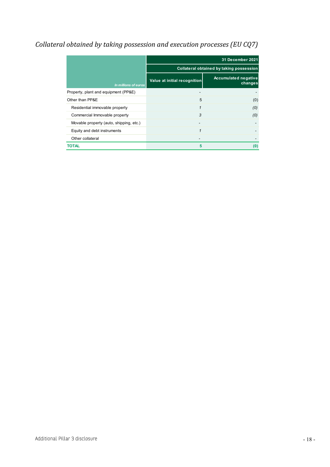## <span id="page-17-0"></span>*Collateral obtained by taking possession and execution processes (EU CQ7)*

|                                         | 31 December 2021             |                                          |  |  |  |  |  |  |
|-----------------------------------------|------------------------------|------------------------------------------|--|--|--|--|--|--|
|                                         |                              | Collateral obtained by taking possession |  |  |  |  |  |  |
| In millions of euros                    | Value at initial recognition | <b>Accumulated negative</b><br>changes   |  |  |  |  |  |  |
| Property, plant and equipment (PP&E)    |                              |                                          |  |  |  |  |  |  |
| Other than PP&E                         | 5                            | (0)                                      |  |  |  |  |  |  |
| Residential immovable property          | 1                            | (0)                                      |  |  |  |  |  |  |
| Commercial Immovable property           | 3                            | (0)                                      |  |  |  |  |  |  |
| Movable property (auto, shipping, etc.) |                              |                                          |  |  |  |  |  |  |
| Equity and debt instruments             | 1                            |                                          |  |  |  |  |  |  |
| Other collateral                        |                              |                                          |  |  |  |  |  |  |
| TOTAL                                   | 5                            | (0)                                      |  |  |  |  |  |  |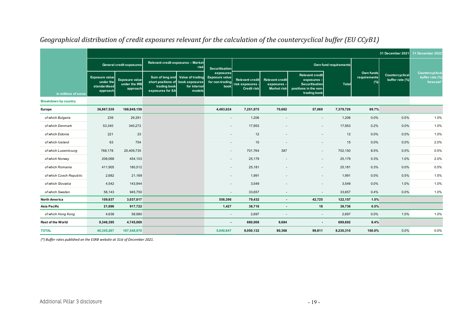|                             | 31 December 2021                                               |                                                    |                                                                       |                                                            |                                                               |                                                                  |                                                            |                                                                                                        |                       |                                  | 31 December 2022                   |                                                 |
|-----------------------------|----------------------------------------------------------------|----------------------------------------------------|-----------------------------------------------------------------------|------------------------------------------------------------|---------------------------------------------------------------|------------------------------------------------------------------|------------------------------------------------------------|--------------------------------------------------------------------------------------------------------|-----------------------|----------------------------------|------------------------------------|-------------------------------------------------|
|                             |                                                                | General credit exposures                           | <b>Relevant credit exposures - Market</b>                             | risk                                                       | Securitisation                                                |                                                                  |                                                            |                                                                                                        | Own fund requirements |                                  |                                    |                                                 |
| In millions of euros        | <b>Exposure value</b><br>under the<br>standardised<br>approach | <b>Exposure value</b><br>under the IRB<br>approach | short positions of book exposures<br>trading book<br>exposures for SA | Sum of long and Value of trading<br>for internal<br>models | exposures<br><b>Exposure value</b><br>for non-trading<br>book | <b>Relevant credit</b><br>risk exposures -<br><b>Credit risk</b> | <b>Relevant credit</b><br>exposures-<br><b>Market risk</b> | <b>Relevant credit</b><br>exposures-<br><b>Securitisation</b><br>positions in the non-<br>trading book | <b>Total</b>          | Own funds<br>requirements<br>(%) | Countercyclical<br>buffer rate (%) | Countercyclical<br>buffer rate (%)<br>forecast* |
| <b>Breakdown by country</b> |                                                                |                                                    |                                                                       |                                                            |                                                               |                                                                  |                                                            |                                                                                                        |                       |                                  |                                    |                                                 |
| Europe                      | 36,867,539                                                     | 188,849,159                                        |                                                                       |                                                            | 4,483,024                                                     | 7,251,975                                                        | 70,682                                                     | 57,069                                                                                                 | 7,379,726             | 89.7%                            |                                    |                                                 |
| of which Bulgaria           | 239                                                            | 29,291                                             |                                                                       |                                                            | $\sim$                                                        | 1,206                                                            |                                                            | $\overline{\phantom{a}}$                                                                               | 1,206                 | 0.0%                             | 0.5%                               | 1.0%                                            |
| of which Denmark            | 53,340                                                         | 340,272                                            |                                                                       |                                                            | ٠                                                             | 17,953                                                           |                                                            | $\overline{\phantom{a}}$                                                                               | 17,953                | 0.2%                             | 0.0%                               | 1.0%                                            |
| of which Estonia            | 221                                                            | 23                                                 |                                                                       |                                                            | ٠                                                             | 12                                                               |                                                            | $\overline{\phantom{a}}$                                                                               | 12                    | 0.0%                             | 0.0%                               | 1.0%                                            |
| of which Iceland            | 63                                                             | 754                                                |                                                                       |                                                            |                                                               | 15                                                               |                                                            |                                                                                                        | 15                    | 0.0%                             | 0.0%                               | 2.0%                                            |
| of which Luxembourg         | 768,178                                                        | 20,409,735                                         |                                                                       |                                                            | ٠                                                             | 701,764                                                          | 387                                                        | $\overline{\phantom{a}}$                                                                               | 702,150               | 8.5%                             | 0.5%                               | 0.5%                                            |
| of which Norway             | 208,068                                                        | 454,103                                            |                                                                       |                                                            | $\sim$                                                        | 25,179                                                           | $\overline{a}$                                             | $\sim$                                                                                                 | 25,179                | 0.3%                             | 1.0%                               | 2.0%                                            |
| of which Romania            | 411,905                                                        | 180,512                                            |                                                                       |                                                            |                                                               | 25,181                                                           |                                                            | $\overline{\phantom{a}}$                                                                               | 25,181                | 0.3%                             | 0.0%                               | 0.5%                                            |
| of which Czech Republic     | 2,682                                                          | 21,169                                             |                                                                       |                                                            | ٠                                                             | 1,991                                                            |                                                            | $\overline{\phantom{a}}$                                                                               | 1,991                 | 0.0%                             | 0.5%                               | 1.5%                                            |
| of which Slovakia           | 4,542                                                          | 143,944                                            |                                                                       |                                                            | $\sim$                                                        | 3,549                                                            |                                                            | $\overline{\phantom{a}}$                                                                               | 3,549                 | 0.0%                             | 1.0%                               | 1.0%                                            |
| of which Sweden             | 56,143                                                         | 945,750                                            |                                                                       |                                                            | $\overline{\phantom{a}}$                                      | 33,657                                                           |                                                            | $\overline{\phantom{a}}$                                                                               | 33,657                | 0.4%                             | 0.0%                               | 1.0%                                            |
| <b>North America</b>        | 109,637                                                        | 3,037,017                                          |                                                                       |                                                            | 556,396                                                       | 79,432                                                           | $\blacksquare$                                             | 42,725                                                                                                 | 122,157               | 1.5%                             |                                    |                                                 |
| Asia Pacific                | 21,696                                                         | 917,722                                            |                                                                       |                                                            | 1,427                                                         | 38,718                                                           | $\overline{\phantom{a}}$                                   | 18                                                                                                     | 38,736                | 0.5%                             |                                    |                                                 |
| of which Hong Kong          | 4,638                                                          | 58,980                                             |                                                                       |                                                            | $\sim$                                                        | 2,697                                                            | $\overline{\phantom{a}}$                                   | $\sim$                                                                                                 | 2,697                 | 0.0%                             | 1.0%                               | 1.0%                                            |
| Rest of the World           | 9,346,395                                                      | 4,745,069                                          |                                                                       |                                                            | $\blacksquare$                                                | 680,008                                                          | 9,684                                                      | $\sim$                                                                                                 | 689,692               | 8.4%                             |                                    |                                                 |
| <b>TOTAL</b>                | 46,345,267                                                     | 197,548,970                                        |                                                                       |                                                            | 5,040,847                                                     | 8,050,132                                                        | 80,366                                                     | 99,811                                                                                                 | 8,230,310             | 100.0%                           | 0.0%                               | 0.0%                                            |

#### *Geographical distribution of credit exposures relevant for the calculation of the countercyclical buffer (EU CCyB1)*

<span id="page-18-0"></span>*(\*) Buffer rates published on the ESRB website at 31st of December 2021.*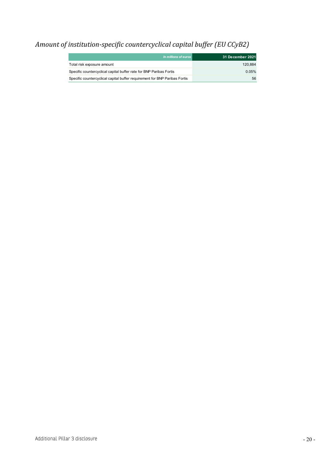## <span id="page-19-0"></span>*Amount of institution-specific countercyclical capital buffer (EU CCyB2)*

| In millions of euros                                                       | 31 December 2021 |
|----------------------------------------------------------------------------|------------------|
| Total risk exposure amount                                                 | 120.884          |
| Specific countercyclical capital buffer rate for BNP Paribas Fortis        | 0.05%            |
| Specific countercyclical capital buffer requirement for BNP Paribas Fortis | 56               |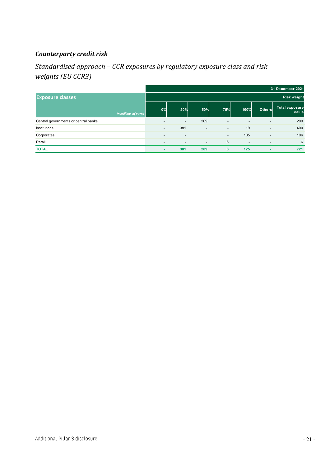#### <span id="page-20-0"></span>*Counterparty credit risk*

#### <span id="page-20-1"></span>*Standardised approach – CCR exposures by regulatory exposure class and risk weights (EU CCR3)*

|                                      | 31 December 2021         |                          |                          |                          |                          |                          |                                |  |
|--------------------------------------|--------------------------|--------------------------|--------------------------|--------------------------|--------------------------|--------------------------|--------------------------------|--|
| <b>Exposure classes</b>              | <b>Risk weight</b>       |                          |                          |                          |                          |                          |                                |  |
| In millions of euros                 | 0%                       | <b>20%</b>               | 50%                      | 75%                      | 100%                     | <b>Others</b>            | <b>Total exposure</b><br>value |  |
| Central governments or central banks | $\overline{\phantom{a}}$ | $\overline{\phantom{a}}$ | 209                      | $\overline{\phantom{a}}$ | $\overline{\phantom{a}}$ | $\overline{\phantom{a}}$ | 209                            |  |
| Institutions                         | $\overline{\phantom{a}}$ | 381                      | $\overline{\phantom{a}}$ | $\overline{\phantom{a}}$ | 19                       | $\overline{\phantom{a}}$ | 400                            |  |
| Corporates                           | $\overline{\phantom{a}}$ | $\overline{\phantom{a}}$ |                          | $\overline{\phantom{a}}$ | 105                      | $\overline{\phantom{a}}$ | 106                            |  |
| Retail                               | $\overline{\phantom{a}}$ | $\overline{\phantom{a}}$ | $\overline{\phantom{a}}$ | 6                        | $\overline{\phantom{a}}$ | $\overline{\phantom{a}}$ | 6                              |  |
| <b>TOTAL</b>                         |                          | 381                      | 209                      | 6                        | 125                      | ٠                        | 721                            |  |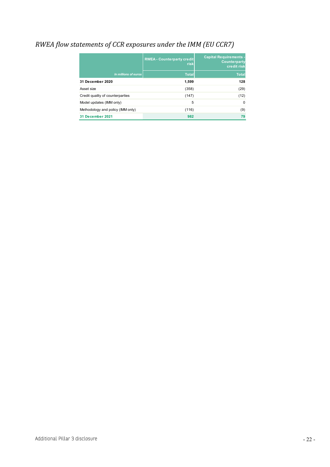## <span id="page-21-0"></span>*RWEA flow statements of CCR exposures under the IMM (EU CCR7)*

|                                   | <b>RWEA - Counterparty credit</b><br>risk | <b>Capital Requirements -</b><br><b>Counterparty</b><br>credit risk |
|-----------------------------------|-------------------------------------------|---------------------------------------------------------------------|
| In millions of euros              | <b>Total</b>                              | <b>Total</b>                                                        |
| 31 December 2020                  | 1.599                                     | 128                                                                 |
| Asset size                        | (358)                                     | (29)                                                                |
| Credit quality of counterparties  | (147)                                     | (12)                                                                |
| Model updates (IMM only)          | 5                                         | $\Omega$                                                            |
| Methodology and policy (IMM only) | (116)                                     | (9)                                                                 |
| 31 December 2021                  | 982                                       | 79                                                                  |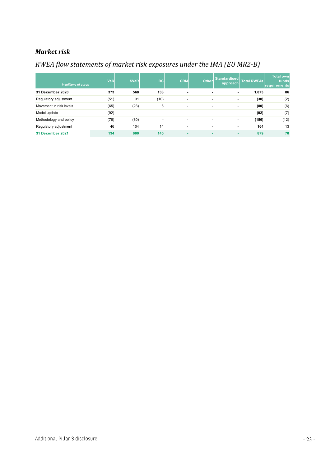#### <span id="page-22-0"></span>*Market risk*

#### <span id="page-22-1"></span>*RWEA flow statements of market risk exposures under the IMA (EU MR2-B)*

| In millions of euros    | <b>VaR</b> | <b>SVaR</b>              | <b>IRC</b>               | <b>CRM</b>               | Other | Standardised<br>approach | <b>Total RWEAs</b> | <b>Total own</b><br>funds<br>requirements |
|-------------------------|------------|--------------------------|--------------------------|--------------------------|-------|--------------------------|--------------------|-------------------------------------------|
| 31 December 2020        | 373        | 568                      | 133                      |                          |       | ٠                        | 1,073              | 86                                        |
| Regulatory adjustment   | (51)       | 31                       | (10)                     | ۰                        | -     | $\overline{\phantom{a}}$ | (30)               | (2)                                       |
| Movement in risk levels | (65)       | (23)                     | 8                        | ۰                        | -     | $\overline{\phantom{a}}$ | (80)               | (6)                                       |
| Model update            | (92)       | $\overline{\phantom{a}}$ | $\overline{\phantom{a}}$ | $\overline{\phantom{a}}$ | -     | $\overline{\phantom{a}}$ | (92)               | (7)                                       |
| Methodology and policy  | (76)       | (80)                     | $\overline{\phantom{a}}$ | $\overline{\phantom{a}}$ |       | $\overline{\phantom{a}}$ | (156)              | (12)                                      |
| Regulatory adjustment   | 46         | 104                      | 14                       | $\overline{\phantom{a}}$ | -     | $\overline{a}$           | 164                | 13                                        |
| 31 December 2021        | 134        | 600                      | 145                      | $\overline{\phantom{a}}$ | ۰     | ۰                        | 879                | 70                                        |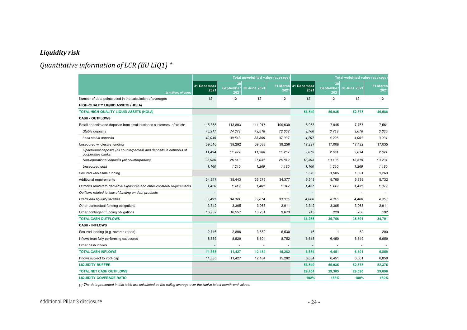#### *Liquidity risk*

## *Quantitative information of LCR (EU LIQ1) \**

<span id="page-23-0"></span>

|                                                                                            |                     |                                | Total unweighted value (average) |         | Total weighted value (average) |                                |              |                  |
|--------------------------------------------------------------------------------------------|---------------------|--------------------------------|----------------------------------|---------|--------------------------------|--------------------------------|--------------|------------------|
| In millions of euros                                                                       | 31 December<br>2021 | 30<br><b>September</b><br>2021 | 30 June 2021                     | 2021    | 31 March 31 December<br>2021   | 30<br><b>September</b><br>2021 | 30 June 2021 | 31 March<br>2021 |
| Number of data points used in the calculation of averages                                  | 12                  | 12                             | 12                               | 12      | 12                             | 12                             | 12           | 12               |
| HIGH-QUALITY LIQUID ASSETS (HQLA)                                                          |                     |                                |                                  |         |                                |                                |              |                  |
| TOTAL HIGH-QUALITY LIQUID ASSETS (HQLA)                                                    |                     |                                |                                  |         | 56,549                         | 55,035                         | 52,375       | 46,588           |
| <b>CASH - OUTFLOWS</b>                                                                     |                     |                                |                                  |         |                                |                                |              |                  |
| Retail deposits and deposits from small business customers, of which:                      | 115,365             | 113,893                        | 111,917                          | 109,639 | 8,063                          | 7,945                          | 7,767        | 7,561            |
| Stable deposits                                                                            | 75,317              | 74,379                         | 73,518                           | 72,602  | 3,766                          | 3,719                          | 3.676        | 3,630            |
| Less stable deposits                                                                       | 40,049              | 39,513                         | 38,399                           | 37,037  | 4,297                          | 4,226                          | 4,091        | 3,931            |
| Unsecured wholesale funding                                                                | 39,610              | 39,292                         | 39,688                           | 39,256  | 17,227                         | 17,008                         | 17,422       | 17,035           |
| Operational deposits (all counterparties) and deposits in networks of<br>cooperative banks | 11,494              | 11,472                         | 11,388                           | 11,257  | 2,675                          | 2,661                          | 2.634        | 2,624            |
| Non-operational deposits (all counterparties)                                              | 26,956              | 26,610                         | 27,031                           | 26,819  | 13,393                         | 13,136                         | 13,519       | 13,231           |
| Unsecured debt                                                                             | 1.160               | 1,210                          | 1,269                            | 1,180   | 1,160                          | 1,210                          | 1,269        | 1,180            |
| Secured wholesale funding                                                                  |                     |                                |                                  |         | 1,670                          | 1,505                          | 1,391        | 1,269            |
| Additional requirements                                                                    | 34,917              | 35.443                         | 35.275                           | 34,377  | 5,543                          | 5,765                          | 5,839        | 5,732            |
| Outflows related to derivative exposures and other collateral requirements                 | 1,426               | 1,419                          | 1,401                            | 1,342   | 1,457                          | 1,449                          | 1,431        | 1,379            |
| Outflows related to loss of funding on debt products                                       |                     |                                | ÷.                               |         | $\overline{\phantom{a}}$       |                                |              |                  |
| Credit and liquidity facilities                                                            | 33,491              | 34,024                         | 33,874                           | 33,035  | 4,086                          | 4,316                          | 4,408        | 4,353            |
| Other contractual funding obligations                                                      | 3,342               | 3,305                          | 3,063                            | 2,911   | 3,342                          | 3,305                          | 3,063        | 2,911            |
| Other contingent funding obligations                                                       | 16.982              | 16.557                         | 13,231                           | 9,673   | 243                            | 229                            | 208          | 192              |
| <b>TOTAL CASH OUTFLOWS</b>                                                                 |                     |                                |                                  |         | 36,088                         | 35,756                         | 35,691       | 34,701           |
| <b>CASH - INFLOWS</b>                                                                      |                     |                                |                                  |         |                                |                                |              |                  |
| Secured lending (e.g. reverse repos)                                                       | 2,716               | 2.898                          | 3.580                            | 6,530   | 16                             | $\mathbf{1}$                   | 52           | 200              |
| Inflows from fully performing exposures                                                    | 8,669               | 8,529                          | 8,604                            | 8,752   | 6,618                          | 6,450                          | 6,549        | 6,659            |
| Other cash inflows                                                                         |                     | $\sim$                         | $\overline{a}$                   | ÷,      |                                |                                |              | $\sim$           |
| <b>TOTAL CASH INFLOWS</b>                                                                  | 11,385              | 11,427                         | 12,184                           | 15,282  | 6,634                          | 6,451                          | 6,601        | 6,859            |
| Inflows subject to 75% cap                                                                 | 11.385              | 11,427                         | 12,184                           | 15,282  | 6.634                          | 6,451                          | 6,601        | 6,859            |
| <b>LIQUIDITY BUFFER</b>                                                                    |                     |                                |                                  |         | 56,549                         | 55,035                         | 52,375       | 52,375           |
| <b>TOTAL NET CASH OUTFLOWS</b>                                                             |                     |                                |                                  |         | 29,454                         | 29,305                         | 29,090       | 29,090           |
| <b>LIQUIDITY COVERAGE RATIO</b>                                                            |                     |                                |                                  |         | 192%                           | 188%                           | 180%         | 180%             |

<span id="page-23-1"></span>*(\*) The data presented in this table are calculated as the rolling average over the twelve latest month-end values.*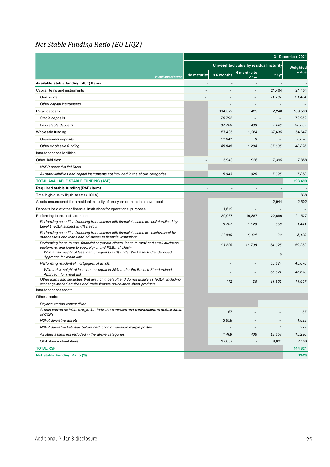#### <span id="page-24-0"></span>*Net Stable Funding Ratio (EU LIQ2)*

|                                                                                                                                                                  |                                       | 31 December 2021 |                          |                          |          |
|------------------------------------------------------------------------------------------------------------------------------------------------------------------|---------------------------------------|------------------|--------------------------|--------------------------|----------|
|                                                                                                                                                                  | Unweighted value by residual maturity |                  |                          |                          | Weighted |
| In millions of euros                                                                                                                                             | No maturity                           | $\leq 6$ months  | 6 months to<br>$< 1$ yr  | $\geq 1$ yr              | value    |
| Available stable funding (ASF) Items                                                                                                                             | $\overline{\phantom{a}}$              |                  | $\overline{\phantom{a}}$ | $\overline{\phantom{a}}$ |          |
| Capital items and instruments                                                                                                                                    |                                       |                  | L                        | 21,404                   | 21,404   |
| Own funds                                                                                                                                                        |                                       |                  |                          | 21,404                   | 21,404   |
| Other capital instruments                                                                                                                                        |                                       |                  |                          |                          |          |
| Retail deposits                                                                                                                                                  |                                       | 114,572          | 439                      | 2,240                    | 109,590  |
| Stable deposits                                                                                                                                                  |                                       | 76,792           | $\overline{\phantom{a}}$ |                          | 72,952   |
| Less stable deposits                                                                                                                                             |                                       | 37,780           | 439                      | 2,240                    | 36.637   |
| Wholesale funding:                                                                                                                                               |                                       | 57,485           | 1,284                    | 37,635                   | 54,647   |
| Operational deposits                                                                                                                                             |                                       | 11,641           | 0                        | $\overline{\phantom{a}}$ | 5,820    |
| Other wholesale funding                                                                                                                                          |                                       | 45,845           | 1,284                    | 37,635                   | 48,826   |
| Interdependent liabilities                                                                                                                                       |                                       |                  | ÷,                       | $\overline{\phantom{a}}$ |          |
| Other liabilities:                                                                                                                                               |                                       | 5,943            | 926                      | 7,395                    | 7,858    |
| <b>NSFR</b> derivative liabilities                                                                                                                               |                                       |                  |                          |                          |          |
| All other liabilities and capital instruments not included in the above categories                                                                               |                                       | 5,943            | 926                      | 7,395                    | 7,858    |
| <b>TOTAL AVAILABLE STABLE FUNDING (ASF)</b>                                                                                                                      |                                       |                  |                          |                          | 193,499  |
| Required stable funding (RSF) Items                                                                                                                              |                                       |                  |                          |                          |          |
| Total high-quality liquid assets (HQLA)                                                                                                                          |                                       |                  |                          |                          | 838      |
| Assets encumbered for a residual maturity of one year or more in a cover pool                                                                                    |                                       |                  |                          | 2,944                    | 2,502    |
| Deposits held at other financial institutions for operational purposes                                                                                           |                                       | 1,619            |                          |                          |          |
| Performing loans and securities:                                                                                                                                 |                                       | 29,067           | 16,887                   | 122,680                  | 121,527  |
| Performing securities financing transactions with financial customers collateralised by<br>Level 1 HQLA subject to 0% haircut                                    |                                       | 3,787            | 1,129                    | 858                      | 1,441    |
| Performing securities financing transactions with financial customer collateralised by<br>other assets and loans and advances to financial institutions          |                                       | 11,940           | 4,024                    | 20                       | 3,199    |
| Performing loans to non-financial corporate clients, loans to retail and small business<br>customers, and loans to sovereigns, and PSEs, of which:               |                                       | 13,228           | 11,708                   | 54,025                   | 59,353   |
| With a risk weight of less than or equal to 35% under the Basel II Standardised<br>Approach for credit risk                                                      |                                       |                  |                          | 0                        |          |
| Performing residential mortgages, of which:                                                                                                                      |                                       |                  |                          | 55,824                   | 45,678   |
| With a risk weight of less than or equal to 35% under the Basel II Standardised<br>Approach for credit risk                                                      |                                       |                  |                          | 55,824                   | 45,678   |
| Other loans and securities that are not in default and do not qualify as HQLA, including<br>exchange-traded equities and trade finance on-balance sheet products |                                       | 112              | 26                       | 11,952                   | 11,857   |
| Interdependent assets                                                                                                                                            |                                       |                  |                          |                          |          |
| Other assets:                                                                                                                                                    |                                       |                  |                          |                          |          |
| Physical traded commodities                                                                                                                                      |                                       |                  |                          |                          |          |
| Assets posted as initial margin for derivative contracts and contributions to default funds<br>of CCPs                                                           |                                       | 67               |                          |                          | 57       |
| <b>NSFR</b> derivative assets                                                                                                                                    |                                       | 3,658            |                          |                          | 1,823    |
| NSFR derivative liabilities before deduction of variation margin posted                                                                                          |                                       |                  |                          | $\mathbf{1}$             | 377      |
| All other assets not included in the above categories                                                                                                            |                                       | 1,469            | 406                      | 13,857                   | 15,290   |
| Off-balance sheet items                                                                                                                                          |                                       | 37,087           |                          | 8,021                    | 2,406    |
| <b>TOTAL RSF</b>                                                                                                                                                 |                                       |                  |                          |                          | 144,821  |
| <b>Net Stable Funding Ratio (%)</b>                                                                                                                              |                                       |                  |                          |                          | 134%     |